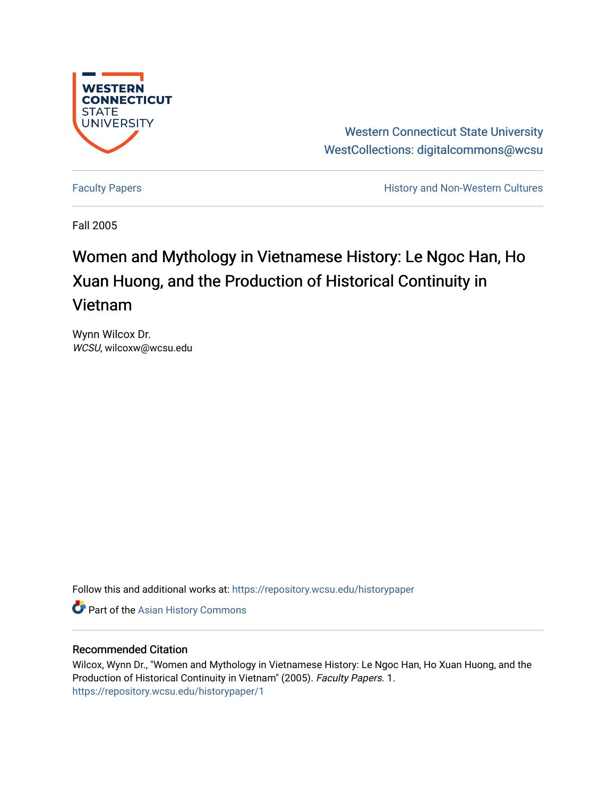

Western Connecticut State University [WestCollections: digitalcommons@wcsu](https://repository.wcsu.edu/) 

[Faculty Papers](https://repository.wcsu.edu/historypaper) **History and Non-Western Cultures** 

Fall 2005

# Women and Mythology in Vietnamese History: Le Ngoc Han, Ho Xuan Huong, and the Production of Historical Continuity in Vietnam

Wynn Wilcox Dr. WCSU, wilcoxw@wcsu.edu

Follow this and additional works at: [https://repository.wcsu.edu/historypaper](https://repository.wcsu.edu/historypaper?utm_source=repository.wcsu.edu%2Fhistorypaper%2F1&utm_medium=PDF&utm_campaign=PDFCoverPages)

**C** Part of the [Asian History Commons](http://network.bepress.com/hgg/discipline/491?utm_source=repository.wcsu.edu%2Fhistorypaper%2F1&utm_medium=PDF&utm_campaign=PDFCoverPages)

### Recommended Citation

Wilcox, Wynn Dr., "Women and Mythology in Vietnamese History: Le Ngoc Han, Ho Xuan Huong, and the Production of Historical Continuity in Vietnam" (2005). Faculty Papers. 1. [https://repository.wcsu.edu/historypaper/1](https://repository.wcsu.edu/historypaper/1?utm_source=repository.wcsu.edu%2Fhistorypaper%2F1&utm_medium=PDF&utm_campaign=PDFCoverPages)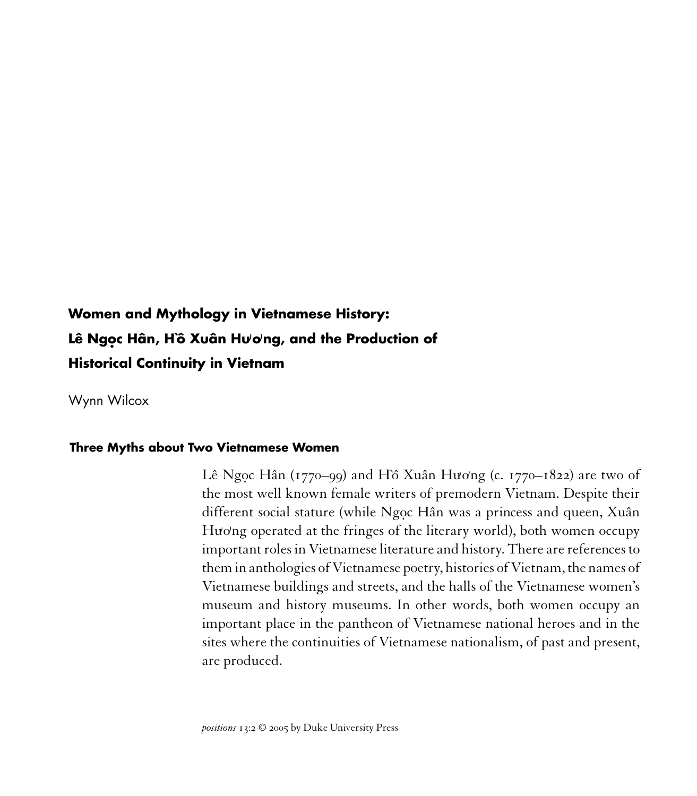## **Women and Mythology in Vietnamese History: Lê Ngo. c Hân, H`ô Xuân Hu)o)ng, and the Production of Historical Continuity in Vietnam**

Wynn Wilcox

#### **Three Myths about Two Vietnamese Women**

Lê Ngọc Hân (1770–99) and Hồ Xuân Hương (c. 1770–1822) are two of the most well known female writers of premodern Vietnam. Despite their different social stature (while Ngoc Hân was a princess and queen, Xuân Hương operated at the fringes of the literary world), both women occupy important roles in Vietnamese literature and history. There are references to them in anthologies of Vietnamese poetry, histories of Vietnam, the names of Vietnamese buildings and streets, and the halls of the Vietnamese women's museum and history museums. In other words, both women occupy an important place in the pantheon of Vietnamese national heroes and in the sites where the continuities of Vietnamese nationalism, of past and present, are produced.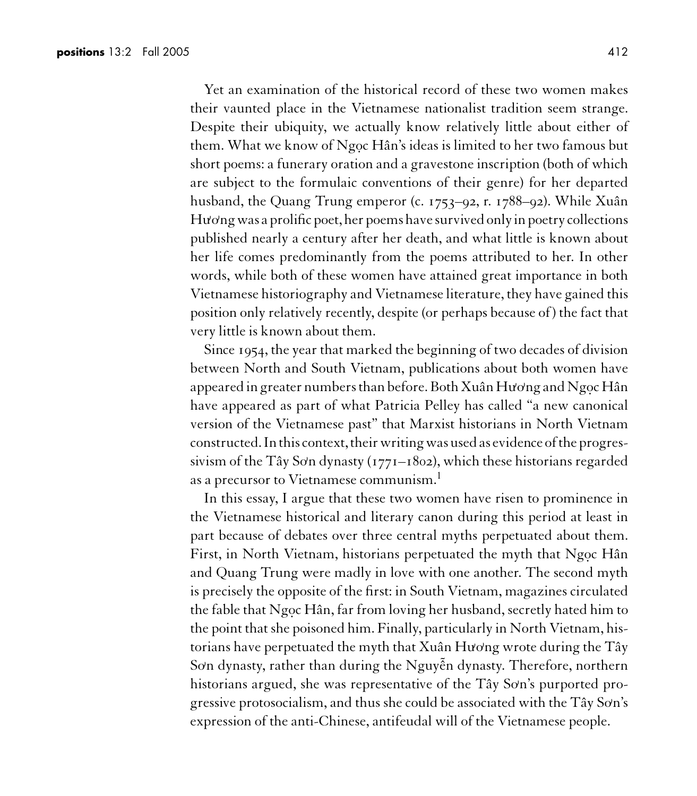Yet an examination of the historical record of these two women makes their vaunted place in the Vietnamese nationalist tradition seem strange. Despite their ubiquity, we actually know relatively little about either of them. What we know of Ngoc Hân's ideas is limited to her two famous but short poems: a funerary oration and a gravestone inscription (both of which are subject to the formulaic conventions of their genre) for her departed husband, the Quang Trung emperor (c. 1753–92, r. 1788–92). While Xuân Hương was a prolific poet, her poems have survived only in poetry collections published nearly a century after her death, and what little is known about her life comes predominantly from the poems attributed to her. In other words, while both of these women have attained great importance in both Vietnamese historiography and Vietnamese literature, they have gained this position only relatively recently, despite (or perhaps because of) the fact that very little is known about them.

Since 1954, the year that marked the beginning of two decades of division between North and South Vietnam, publications about both women have appeared in greater numbers than before. Both Xuân Hương and Ngọc Hân have appeared as part of what Patricia Pelley has called "a new canonical version of the Vietnamese past" that Marxist historians in North Vietnam constructed. In this context, their writing was used as evidence of the progressivism of the Tây Sơn dynasty (1771–1802), which these historians regarded as a precursor to Vietnamese communism.<sup>1</sup>

In this essay, I argue that these two women have risen to prominence in the Vietnamese historical and literary canon during this period at least in part because of debates over three central myths perpetuated about them. First, in North Vietnam, historians perpetuated the myth that Ngoc Hân and Quang Trung were madly in love with one another. The second myth is precisely the opposite of the first: in South Vietnam, magazines circulated the fable that Ngọc Hân, far from loving her husband, secretly hated him to the point that she poisoned him. Finally, particularly in North Vietnam, historians have perpetuated the myth that Xuân Hương wrote during the Tây .<br>Sơn dynasty, rather than during the Nguyễn dynasty. Therefore, northern historians argued, she was representative of the Tây Sơn's purported progressive protosocialism, and thus she could be associated with the Tây Sơn's expression of the anti-Chinese, antifeudal will of the Vietnamese people.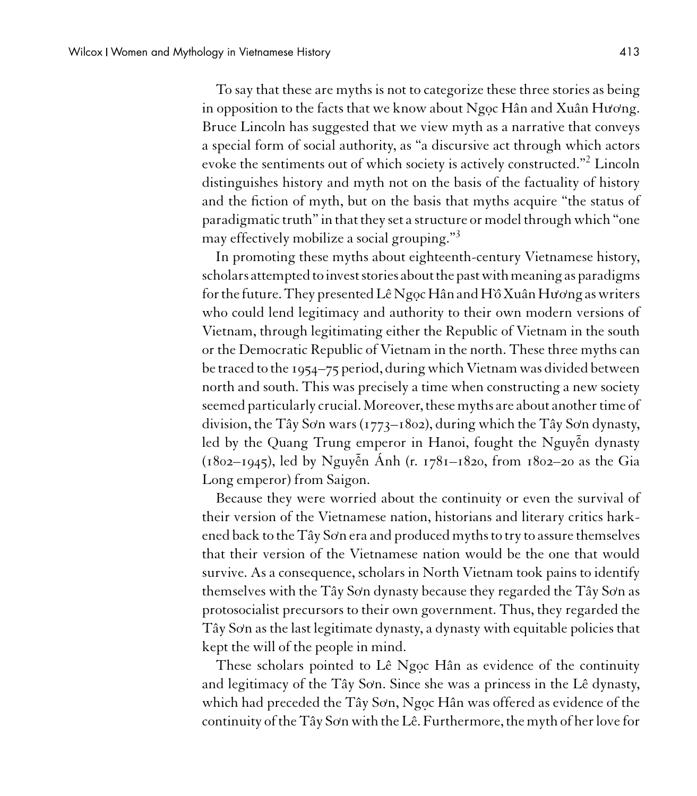To say that these are myths is not to categorize these three stories as being in opposition to the facts that we know about Ngọc Hân and Xuân Hương. Bruce Lincoln has suggested that we view myth as a narrative that conveys a special form of social authority, as "a discursive act through which actors evoke the sentiments out of which society is actively constructed."<sup>2</sup> Lincoln distinguishes history and myth not on the basis of the factuality of history and the fiction of myth, but on the basis that myths acquire "the status of paradigmatic truth" in that they set a structure or model through which "one may effectively mobilize a social grouping."<sup>3</sup>

In promoting these myths about eighteenth-century Vietnamese history, scholars attempted to invest stories about the past with meaning as paradigms forthe future. They presented LêNgo.cHân andH`ˆo XuânHu**)** o**)** ng as writers who could lend legitimacy and authority to their own modern versions of Vietnam, through legitimating either the Republic of Vietnam in the south or the Democratic Republic of Vietnam in the north. These three myths can be traced to the 1954–75 period, during which Vietnam was divided between north and south. This was precisely a time when constructing a new society seemed particularly crucial. Moreover, these myths are about another time of division, the Tây Sơn wars (1773–1802), during which the Tây Sơn dynasty, led by the Quang Trung emperor in Hanoi, fought the Nguyễn dynasty (1802–1945), led by Nguy˜ ên Ánh (r. 1781–1820, from 1802–20 as the Gia Long emperor) from Saigon.

Because they were worried about the continuity or even the survival of their version of the Vietnamese nation, historians and literary critics harkened back to the Tây So**)** n era and produced myths to try to assure themselves that their version of the Vietnamese nation would be the one that would survive. As a consequence, scholars in North Vietnam took pains to identify themselves with the Tây Sơn dynasty because they regarded the Tây Sơn as protosocialist precursors to their own government. Thus, they regarded the Tây So**)** n as the last legitimate dynasty, a dynasty with equitable policies that kept the will of the people in mind.

These scholars pointed to Lê Ngoc Hân as evidence of the continuity and legitimacy of the Tây So**)** n. Since she was a princess in the Lê dynasty, which had preceded the Tây Sơn, Ngọc Hân was offered as evidence of the continuity of the Tây So**)** n with the Lê. Furthermore, the myth of her love for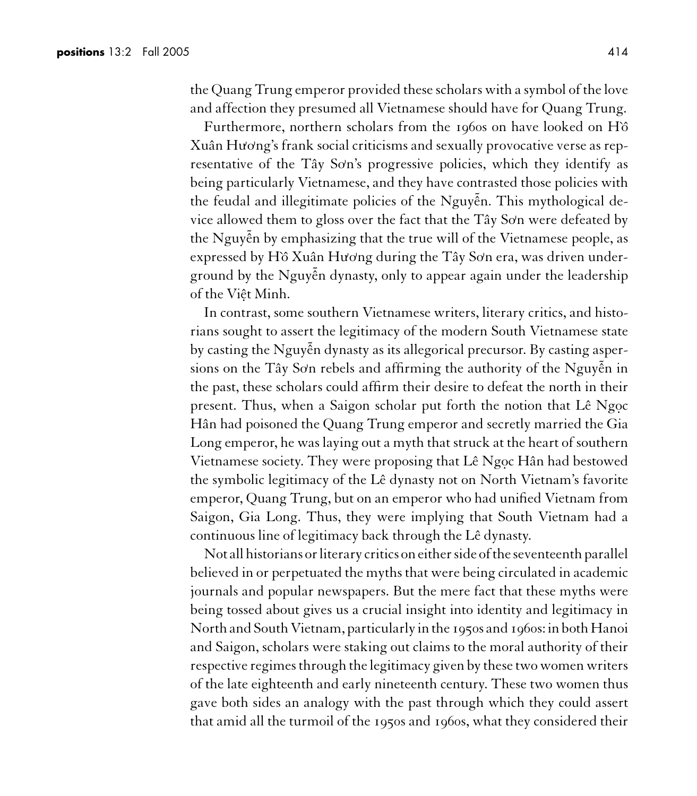the Quang Trung emperor provided these scholars with a symbol of the love and affection they presumed all Vietnamese should have for Quang Trung.

Furthermore, northern scholars from the 1960s on have looked on Hô Xuân Hương's frank social criticisms and sexually provocative verse as representative of the Tây So'n's progressive policies, which they identify as being particularly Vietnamese, and they have contrasted those policies with the feudal and illegitimate policies of the Nguyễn. This mythological device allowed them to gloss over the fact that the Tây Sơn were defeated by the Nguyễn by emphasizing that the true will of the Vietnamese people, as expressed by H`ô Xuân Hương during the Tây Sơn era, was driven underground by the Nguyễn dynasty, only to appear again under the leadership of the Viêt Minh.

In contrast, some southern Vietnamese writers, literary critics, and historians sought to assert the legitimacy of the modern South Vietnamese state by casting the Nguyễn dynasty as its allegorical precursor. By casting aspersions on the Tây Sơn rebels and affirming the authority of the Nguyễn in the past, these scholars could affirm their desire to defeat the north in their present. Thus, when a Saigon scholar put forth the notion that Lê Ngọc Hân had poisoned the Quang Trung emperor and secretly married the Gia Long emperor, he was laying out a myth that struck at the heart of southern Vietnamese society. They were proposing that Lê Ngọc Hân had bestowed the symbolic legitimacy of the Lê dynasty not on North Vietnam's favorite emperor, Quang Trung, but on an emperor who had unified Vietnam from Saigon, Gia Long. Thus, they were implying that South Vietnam had a continuous line of legitimacy back through the Lê dynasty.

Not all historians or literary critics on either side of the seventeenth parallel believed in or perpetuated the myths that were being circulated in academic journals and popular newspapers. But the mere fact that these myths were being tossed about gives us a crucial insight into identity and legitimacy in North and South Vietnam, particularly inthe 1950s and 1960s: in both Hanoi and Saigon, scholars were staking out claims to the moral authority of their respective regimes through the legitimacy given by these two women writers of the late eighteenth and early nineteenth century. These two women thus gave both sides an analogy with the past through which they could assert that amid all the turmoil of the 1950s and 1960s, what they considered their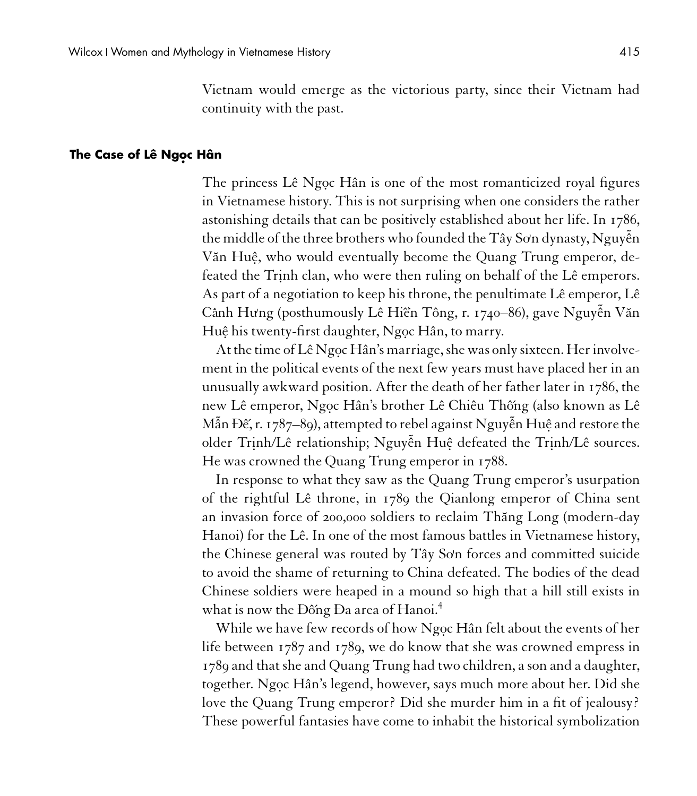Vietnam would emerge as the victorious party, since their Vietnam had continuity with the past.

#### **The Case of Lê Ngoc Hân**

The princess Lê Ngọc Hân is one of the most romanticized royal figures in Vietnamese history. This is not surprising when one considers the rather astonishing details that can be positively established about her life. In 1786, the middle of the three brothers who founded the Tây Sơn dynasty, Nguyễn Văn Huệ, who would eventually become the Quang Trung emperor, defeated the Trinh clan, who were then ruling on behalf of the Lê emperors. As part of a negotiation to keep his throne, the penultimate Lê emperor, Lê C<mark>ành Hưng (posthumously Lê Hiền Tông, r. 1740–86), gave Nguyễn Văn</mark> Huệ his twenty-first daughter, Ngọc Hân, to marry.

At the time of Lê Ngọc Hân's marriage, she was only sixteen. Her involvement in the political events of the next few years must have placed her in an unusually awkward position. After the death of her father later in 1786, the new Lê emperor, Ngọc Hân's brother Lê Chiêu Thống (also known as Lê Mẫn Đế, r. 1787–89), attempted to rebel against Nguyễn Huệ and restore the older Trinh/Lê relationship; Nguyễn Huệ defeated the Trinh/Lê sources. He was crowned the Quang Trung emperor in 1788.

In response to what they saw as the Quang Trung emperor's usurpation of the rightful Lê throne, in 1789 the Qianlong emperor of China sent an invasion force of 200,000 soldiers to reclaim Thăng Long (modern-day Hanoi) for the Lê. In one of the most famous battles in Vietnamese history, the Chinese general was routed by Tây Sơn forces and committed suicide to avoid the shame of returning to China defeated. The bodies of the dead Chinese soldiers were heaped in a mound so high that a hill still exists in what is now the Đống Đa area of Hanoi.<sup>4</sup>

While we have few records of how Ngoc Hân felt about the events of her life between 1787 and 1789, we do know that she was crowned empress in 1789 and that she and Quang Trung had two children, a son and a daughter, together. Ngoc Hân's legend, however, says much more about her. Did she love the Quang Trung emperor? Did she murder him in a fit of jealousy? These powerful fantasies have come to inhabit the historical symbolization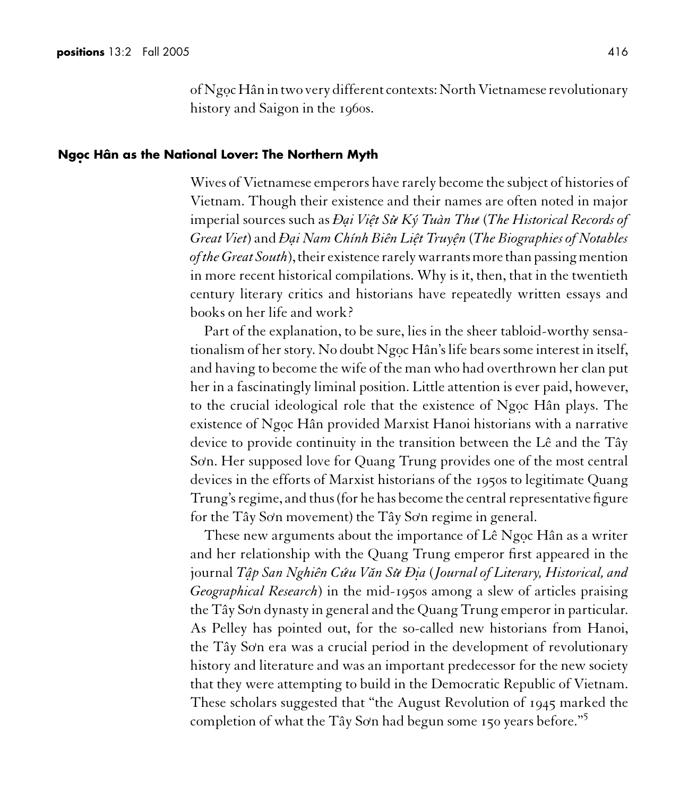of Ngoc Hân in two very different contexts: North Vietnamese revolutionary history and Saigon in the 1960s.

#### **Ngo. c Hân as the National Lover: The Northern Myth**

Wives of Vietnamese emperors have rarely become the subject of histories of Vietnam. Though their existence and their names are often noted in major imperial sources such as *Ða. i Viê.t Su***<sup>&</sup>gt;)** *Ký Tuàn Thu***)** (*The Historical Records of Great Viet*) and *Ða. i Nam Chính Biên Liê.t Truyê. n* (*The Biographies of Notables of the Great South*), their existence rarely warrants more than passing mention in more recent historical compilations. Why is it, then, that in the twentieth century literary critics and historians have repeatedly written essays and books on her life and work?

Part of the explanation, to be sure, lies in the sheer tabloid-worthy sensationalism of her story. No doubt Ngoc Hân's life bears some interest in itself, and having to become the wife of the man who had overthrown her clan put her in a fascinatingly liminal position. Little attention is ever paid, however, to the crucial ideological role that the existence of Ngoc Hân plays. The existence of Ngoc Hân provided Marxist Hanoi historians with a narrative device to provide continuity in the transition between the Lê and the Tây So**)** n. Her supposed love for Quang Trung provides one of the most central devices in the efforts of Marxist historians of the 1950s to legitimate Quang Trung's regime, and thus (for he has become the central representative figure for the Tây So**)** n movement) the Tây So**)** n regime in general.

These new arguments about the importance of Lê Ngọc Hân as a writer and her relationship with the Quang Trung emperor first appeared in the journal *Tâ. p San Nghiên Cú***)** *uV˘an Su***<sup>&</sup>gt;)** *Ði.a* (*Journal of Literary, Historical, and Geographical Research*) in the mid-1950s among a slew of articles praising the Tây Sơn dynasty in general and the Quang Trung emperor in particular. As Pelley has pointed out, for the so-called new historians from Hanoi, the Tây Sơn era was a crucial period in the development of revolutionary history and literature and was an important predecessor for the new society that they were attempting to build in the Democratic Republic of Vietnam. These scholars suggested that "the August Revolution of 1945 marked the completion of what the Tây So**)** n had begun some 150 years before."<sup>5</sup>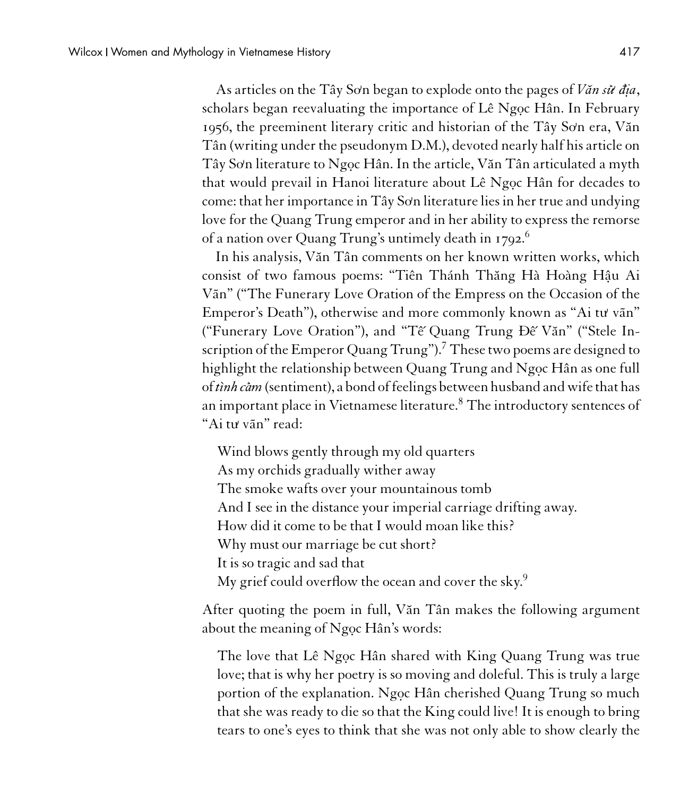As articles on the Tây Sơn began to explode onto the pages of *Văn sử địa*, scholars began reevaluating the importance of Lê Ngoc Hân. In February 1956, the preeminent literary critic and historian of the Tây So'n era, Văn Tân (writing under the pseudonym D.M.), devoted nearly half his article on Tây Sơn literature to Ngọc Hân. In the article, Văn Tân articulated a myth that would prevail in Hanoi literature about Lê Ngọc Hân for decades to come: that her importance in Tây Sơn literature lies in her true and undying love for the Quang Trung emperor and in her ability to express the remorse of a nation over Quang Trung's untimely death in 1792.<sup>6</sup>

In his analysis, V˘an Tân comments on her known written works, which consist of two famous poems: "Tiên Thánh Thăng Hà Hoàng Hậu Ai Vãn" ("The Funerary Love Oration of the Empress on the Occasion of the Emperor's Death"), otherwise and more commonly known as "Ai tu**)** vãn" ("Funerary Love Oration"), and "Tế Quang Trung Đế Văn" ("Stele Inscription of the Emperor Quang Trung").<sup>7</sup> These two poems are designed to highlight the relationship between Quang Trung and Ngoc Hân as one full of *tình càm* (sentiment), a bond of feelings between husband and wife that has an important place in Vietnamese literature.<sup>8</sup> The introductory sentences of "Ai tu**)** vãn" read:

Wind blows gently through my old quarters As my orchids gradually wither away The smoke wafts over your mountainous tomb And I see in the distance your imperial carriage drifting away. How did it come to be that I would moan like this? Why must our marriage be cut short? It is so tragic and sad that My grief could overflow the ocean and cover the sky.<sup>9</sup>

After quoting the poem in full, Văn Tân makes the following argument about the meaning of  $N$ goc Hân's words:

The love that Lê Ngọc Hân shared with King Quang Trung was true love; that is why her poetry is so moving and doleful. This is truly a large portion of the explanation. Ngoc Hân cherished Quang Trung so much that she was ready to die so that the King could live! It is enough to bring tears to one's eyes to think that she was not only able to show clearly the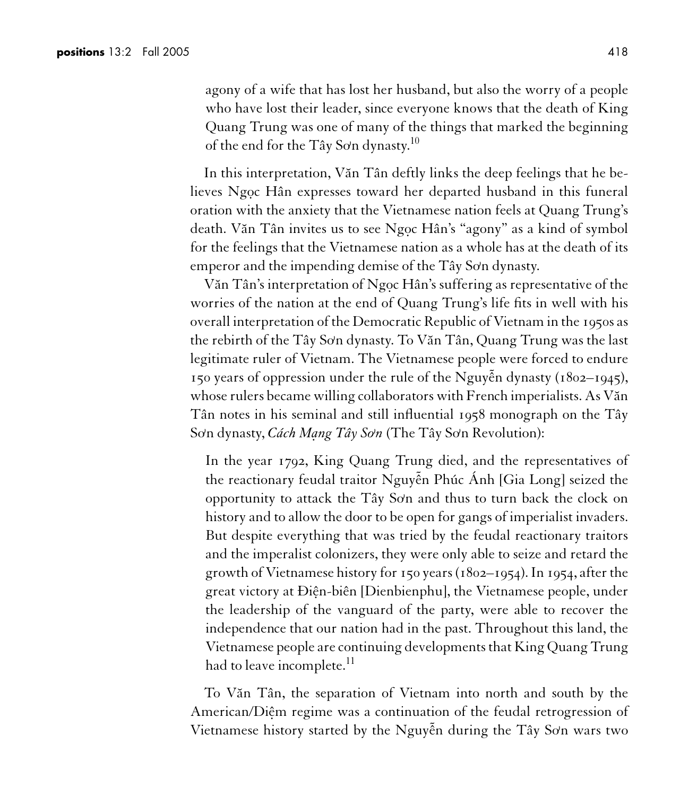agony of a wife that has lost her husband, but also the worry of a people who have lost their leader, since everyone knows that the death of King Quang Trung was one of many of the things that marked the beginning of the end for the Tây Sơn dynasty.<sup>10</sup>

In this interpretation, Văn Tân deftly links the deep feelings that he believes Ngoc Hân expresses toward her departed husband in this funeral oration with the anxiety that the Vietnamese nation feels at Quang Trung's death. Văn Tân invites us to see Ngọc Hân's "agony" as a kind of symbol for the feelings that the Vietnamese nation as a whole has at the death of its emperor and the impending demise of the Tây Sơn dynasty.

Văn Tân's interpretation of Ngọc Hân's suffering as representative of the worries of the nation at the end of Quang Trung's life fits in well with his overall interpretation of the Democratic Republic of Vietnam in the 1950s as the rebirth of the Tây Sơn dynasty. To Văn Tân, Quang Trung was the last legitimate ruler of Vietnam. The Vietnamese people were forced to endure 150 years of oppression under the rule of the Nguyễn dynasty (1802–1945), whose rulers became willing collaborators with French imperialists. As Văn Tân notes in his seminal and still influential 1958 monograph on the Tây Sơn dynasty, *Cách Mạng Tây Sơn* (The Tây Sơn Revolution):

In the year 1792, King Quang Trung died, and the representatives of the reactionary feudal traitor Nguyễn Phúc Ánh [Gia Long] seized the opportunity to attack the Tây So**)** n and thus to turn back the clock on history and to allow the door to be open for gangs of imperialist invaders. But despite everything that was tried by the feudal reactionary traitors and the imperalist colonizers, they were only able to seize and retard the growth of Vietnamese history for 150 years (1802–1954). In 1954, after the great victory at Điện-biên [Dienbienphu], the Vietnamese people, under the leadership of the vanguard of the party, were able to recover the independence that our nation had in the past. Throughout this land, the Vietnamese people are continuing developments that King Quang Trung had to leave incomplete.<sup>11</sup>

To Văn Tân, the separation of Vietnam into north and south by the American/Diệm regime was a continuation of the feudal retrogression of Vietnamese history started by the Nguyễn during the Tây Sơn wars two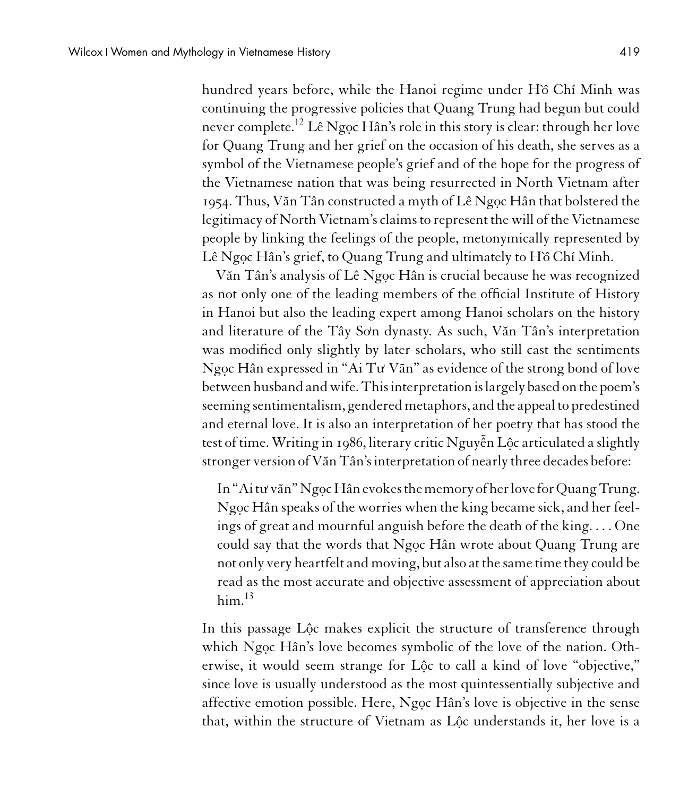hundred years before, while the Hanoi regime under Hô Chí Minh was continuing the progressive policies that Quang Trung had begun but could never complete.<sup>12</sup> Lê Ngoc Hân's role in this story is clear: through her love for Quang Trung and her grief on the occasion of his death, she serves as a symbol of the Vietnamese people's grief and of the hope for the progress of the Vietnamese nation that was being resurrected in North Vietnam after 1954. Thus, Văn Tân constructed a myth of Lê Ngọc Hân that bolstered the legitimacy of North Vietnam's claims to represent the will of the Vietnamese people by linking the feelings of the people, metonymically represented by Lê Ngoc Hân's grief, to Quang Trung and ultimately to Hồ Chí Minh.

Văn Tân's analysis of Lê Ngọc Hân is crucial because he was recognized as not only one of the leading members of the official Institute of History in Hanoi but also the leading expert among Hanoi scholars on the history and literature of the Tây Sơn dynasty. As such, Văn Tân's interpretation was modified only slightly by later scholars, who still cast the sentiments Ngoc Hân expressed in "Ai Tu<sup>Vãn"</sup> as evidence of the strong bond of love between husband and wife. This interpretation is largely based onthe poem's seeming sentimentalism, gendered metaphors, and the appeal to predestined and eternal love. It is also an interpretation of her poetry that has stood the test of time. Writing in 1986, literary critic Nguyễn Lộc articulated a slightly stronger version of Văn Tân's interpretation of nearly three decades before:

In "Aitu' vãn" Ngọc Hân evokes the memory of her love for Quang Trung. Ngọc Hân speaks of the worries when the king became sick, and her feelings of great and mournful anguish before the death of the king. . . . One could say that the words that Ngọc Hân wrote about Quang Trung are not only very heartfelt and moving, but also at the same time they could be read as the most accurate and objective assessment of appreciation about  $him.<sup>13</sup>$ 

In this passage Lôc makes explicit the structure of transference through which Ngoc Hân's love becomes symbolic of the love of the nation. Otherwise, it would seem strange for Lộc to call a kind of love "objective," since love is usually understood as the most quintessentially subjective and affective emotion possible. Here, Ngoc Hân's love is objective in the sense that, within the structure of Vietnam as Lộc understands it, her love is a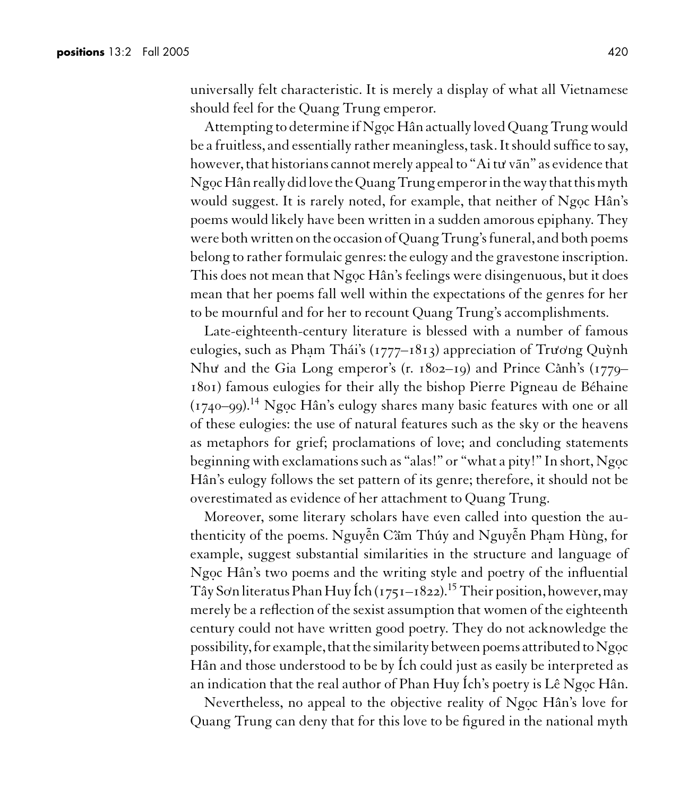universally felt characteristic. It is merely a display of what all Vietnamese should feel for the Quang Trung emperor.

Attempting to determine if Ngoc Hân actually loved Quang Trung would be a fruitless, and essentially rather meaningless, task. It should suffice to say, however, that historians cannot merely appeal to "Ai tu**)** vãn" as evidence that Ngọc Hân really did love the Quang Trung emperor in the way that this myth would suggest. It is rarely noted, for example, that neither of Ngoc Hân's poems would likely have been written in a sudden amorous epiphany. They were both written on the occasion of Quang Trung's funeral, and both poems belong to rather formulaic genres: the eulogy and the gravestone inscription. This does not mean that Ngoc Hân's feelings were disingenuous, but it does mean that her poems fall well within the expectations of the genres for her to be mournful and for her to recount Quang Trung's accomplishments.

Late-eighteenth-century literature is blessed with a number of famous eulogies, such as Phạm Thái's (1777–1813) appreciation of Trương Quỳnh Như and the Gia Long emperor's (r. 1802–19) and Prince Cành's (1779– 1801) famous eulogies for their ally the bishop Pierre Pigneau de Béhaine  $(1740-99).$ <sup>14</sup> Ngọc Hân's eulogy shares many basic features with one or all of these eulogies: the use of natural features such as the sky or the heavens as metaphors for grief; proclamations of love; and concluding statements beginning with exclamations such as "alas!" or "what a pity!" In short, Ngoc Hân's eulogy follows the set pattern of its genre; therefore, it should not be overestimated as evidence of her attachment to Quang Trung.

Moreover, some literary scholars have even called into question the authenticity of the poems. Nguyễn Cầm Thúy and Nguyễn Phạm Hùng, for example, suggest substantial similarities in the structure and language of Ngoc Hân's two poems and the writing style and poetry of the influential Tây Sơn literatus Phan Huy Ích (1751–1822).<sup>15</sup> Their position, however, may merely be a reflection of the sexist assumption that women of the eighteenth century could not have written good poetry. They do not acknowledge the possibility, for example, that the similarity between poems attributed to Ngoc Hân and those understood to be by Ích could just as easily be interpreted as an indication that the real author of Phan Huy Ích's poetry is Lê Ngọc Hân.

Nevertheless, no appeal to the objective reality of Ngoc Hân's love for Quang Trung can deny that for this love to be figured in the national myth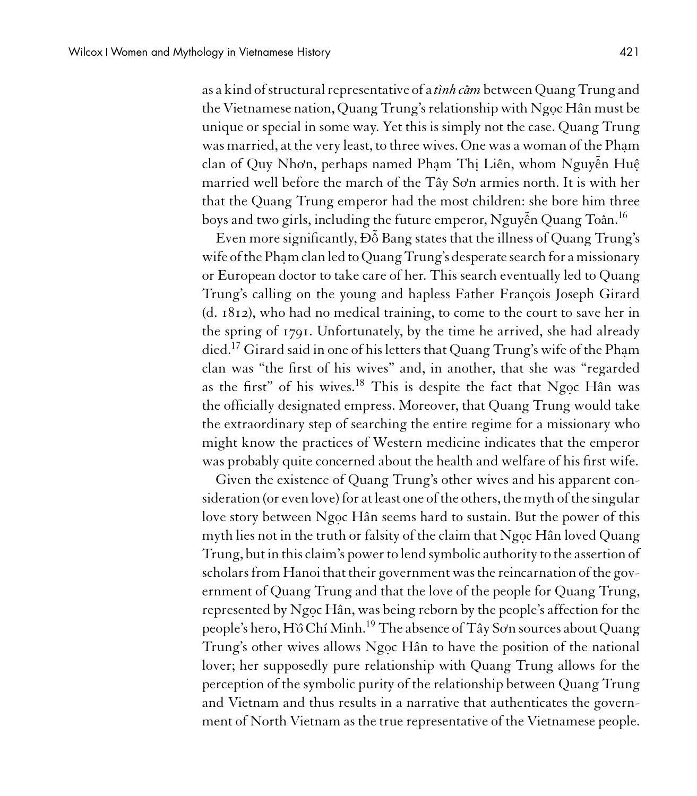as a kind of structural representative of a*tình càm* between Quang Trung and the Vietnamese nation, Quang Trung's relationship with Ngoc Hân must be unique or special in some way. Yet this is simply not the case. Quang Trung was married, at the very least, to three wives. One was a woman of the Pham clan of Quy Nhơn, perhaps named Phạm Thị Liên, whom Nguyễn Huệ married well before the march of the Tây So**)** n armies north. It is with her that the Quang Trung emperor had the most children: she bore him three boys and two girls, including the future emperor, Nguyễn Quang To<mark>å</mark>n.<sup>16</sup>

Even more significantly, Đỗ Bang states that the illness of Quang Trung's wife of the Pham clan led to Quang Trung's desperate search for a missionary or European doctor to take care of her. This search eventually led to Quang Trung's calling on the young and hapless Father François Joseph Girard (d. 1812), who had no medical training, to come to the court to save her in the spring of 1791. Unfortunately, by the time he arrived, she had already died.<sup>17</sup> Girard said in one of his letters that Quang Trung's wife of the Phạm clan was "the first of his wives" and, in another, that she was "regarded as the first" of his wives. $18$  This is despite the fact that Ngoc Hân was the officially designated empress. Moreover, that Quang Trung would take the extraordinary step of searching the entire regime for a missionary who might know the practices of Western medicine indicates that the emperor was probably quite concerned about the health and welfare of his first wife.

Given the existence of Quang Trung's other wives and his apparent consideration (or even love) for at least one of the others, the myth of the singular love story between Ngoc Hân seems hard to sustain. But the power of this myth lies not in the truth or falsity of the claim that Ngoc Hân loved Quang Trung, but in this claim's power to lend symbolic authority to the assertion of scholars from Hanoi that their government was the reincarnation of the government of Quang Trung and that the love of the people for Quang Trung, represented by Ngọc Hân, was being reborn by the people's affection for the people's hero, H`ô Chí Minh.<sup>19</sup> The absence of Tây Sơn sources about Quang Trung's other wives allows Ngoc Hân to have the position of the national lover; her supposedly pure relationship with Quang Trung allows for the perception of the symbolic purity of the relationship between Quang Trung and Vietnam and thus results in a narrative that authenticates the government of North Vietnam as the true representative of the Vietnamese people.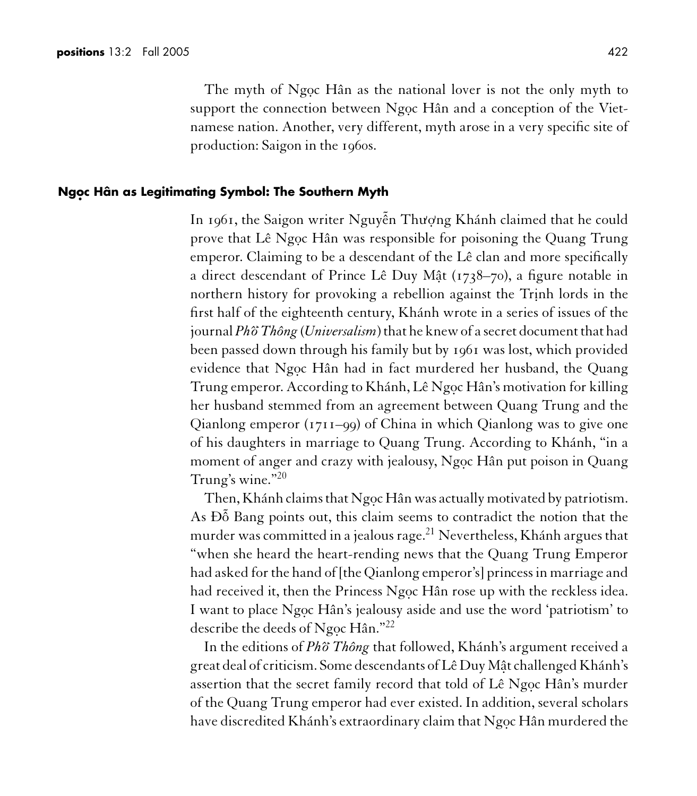The myth of Ngọc Hân as the national lover is not the only myth to support the connection between Ngoc Hân and a conception of the Vietnamese nation. Another, very different, myth arose in a very specific site of production: Saigon in the 1960s.

#### **Ngo. c Hân as Legitimating Symbol: The Southern Myth**

In 1961, the Saigon writer Nguyễn Thượng Khánh claimed that he could prove that Lê Ngọc Hân was responsible for poisoning the Quang Trung emperor. Claiming to be a descendant of the Lê clan and more specifically a direct descendant of Prince Lê Duy Mật ( $1738-70$ ), a figure notable in northern history for provoking a rebellion against the Trinh lords in the first half of the eighteenth century, Khánh wrote in a series of issues of the journal *Phˆo***<sup>&</sup>gt;** *Thông* (*Universalism*) that he knew of a secret document that had been passed down through his family but by 1961 was lost, which provided evidence that Ngoc Hân had in fact murdered her husband, the Quang Trung emperor. According to Khánh, Lê Ngọc Hân's motivation for killing her husband stemmed from an agreement between Quang Trung and the Qianlong emperor (1711–99) of China in which Qianlong was to give one of his daughters in marriage to Quang Trung. According to Khánh, "in a moment of anger and crazy with jealousy, Ngọc Hân put poison in Quang Trung's wine."<sup>20</sup>

Then, Khánh claims that Ngọc Hân was actually motivated by patriotism. As  $\overline{D}$  Bang points out, this claim seems to contradict the notion that the murder was committed in a jealous rage.<sup>21</sup> Nevertheless, Khánh argues that "when she heard the heart-rending news that the Quang Trung Emperor had asked for the hand of [the Qianlong emperor's] princess in marriage and had received it, then the Princess Ngọc Hân rose up with the reckless idea. I want to place Ngọc Hân's jealousy aside and use the word 'patriotism' to describe the deeds of Ngọc Hân."<sup>22</sup>

In the editions of *Phˆo***<sup>&</sup>gt;** *Thông* that followed, Khánh's argument received a great deal of criticism. Some descendants of Lê Duy Mât challenged Khánh's assertion that the secret family record that told of Lê Ngọc Hân's murder of the Quang Trung emperor had ever existed. In addition, several scholars have discredited Khánh's extraordinary claim that Ngọc Hân murdered the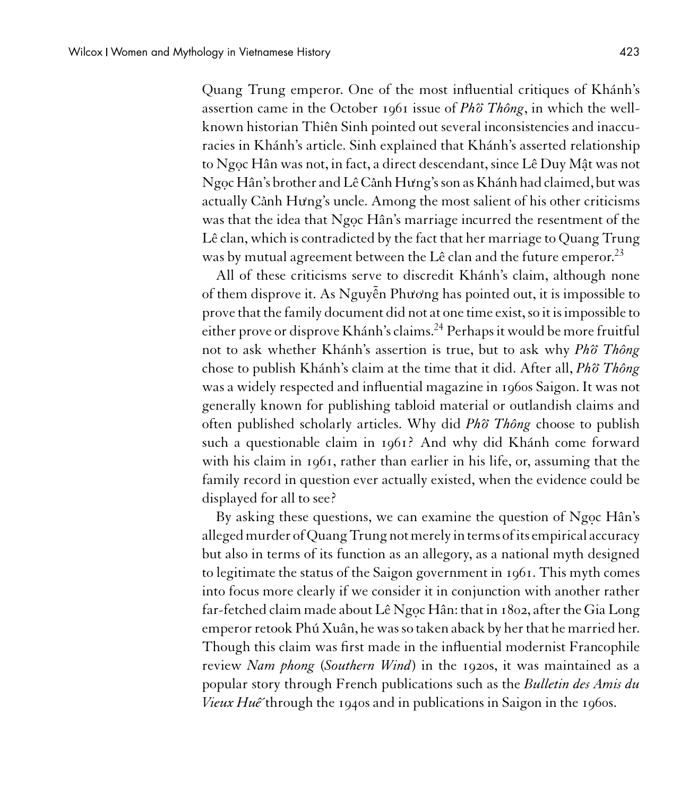Quang Trung emperor. One of the most influential critiques of Khánh's assertion came in the October 1961 issue of *Phˆo***<sup>&</sup>gt;** *Thông*, in which the wellknown historian Thiên Sinh pointed out several inconsistencies and inaccuracies in Khánh's article. Sinh explained that Khánh's asserted relationship to Ngoc Hân was not, in fact, a direct descendant, since Lê Duy Mât was not Ngo.c Hân's brother and Lê Ca**<sup>&</sup>gt;** nh Hu**)** ng's son as Khánh had claimed, but was actually C<mark>ành Hưng's uncle. Among the most salient of his other criticisms</mark> was that the idea that Ngoc Hân's marriage incurred the resentment of the Lê clan, which is contradicted by the fact that her marriage to Quang Trung was by mutual agreement between the Lê clan and the future emperor.<sup>23</sup>

All of these criticisms serve to discredit Khánh's claim, although none of them disprove it. As Nguyễn Phương has pointed out, it is impossible to prove that the family document did not at one time exist, so it is impossible to either prove or disprove Khánh's claims.<sup>24</sup> Perhaps it would be more fruitful not to ask whether Khánh's assertion is true, but to ask why *Phˆo***<sup>&</sup>gt;** *Thông* chose to publish Khánh's claim at the time that it did. After all, *Phˆo***<sup>&</sup>gt;** *Thông* was a widely respected and influential magazine in 1960s Saigon. It was not generally known for publishing tabloid material or outlandish claims and often published scholarly articles. Why did *Phˆo***<sup>&</sup>gt;** *Thông* choose to publish such a questionable claim in 1961? And why did Khánh come forward with his claim in 1961, rather than earlier in his life, or, assuming that the family record in question ever actually existed, when the evidence could be displayed for all to see?

By asking these questions, we can examine the question of Ngoc Hân's allegedmurder of Quang Trung notmerely interms of its empirical accuracy but also in terms of its function as an allegory, as a national myth designed to legitimate the status of the Saigon government in 1961. This myth comes into focus more clearly if we consider it in conjunction with another rather far-fetched claim made about Lê Ngọc Hân: that in 1802, after the Gia Long emperor retook Phú Xuân, he was so taken aback by her that he married her. Though this claim was first made in the influential modernist Francophile review *Nam phong* (*Southern Wind*) in the 1920s, it was maintained as a popular story through French publications such as the *Bulletin des Amis du Vieux Huế* through the 1940s and in publications in Saigon in the 1960s.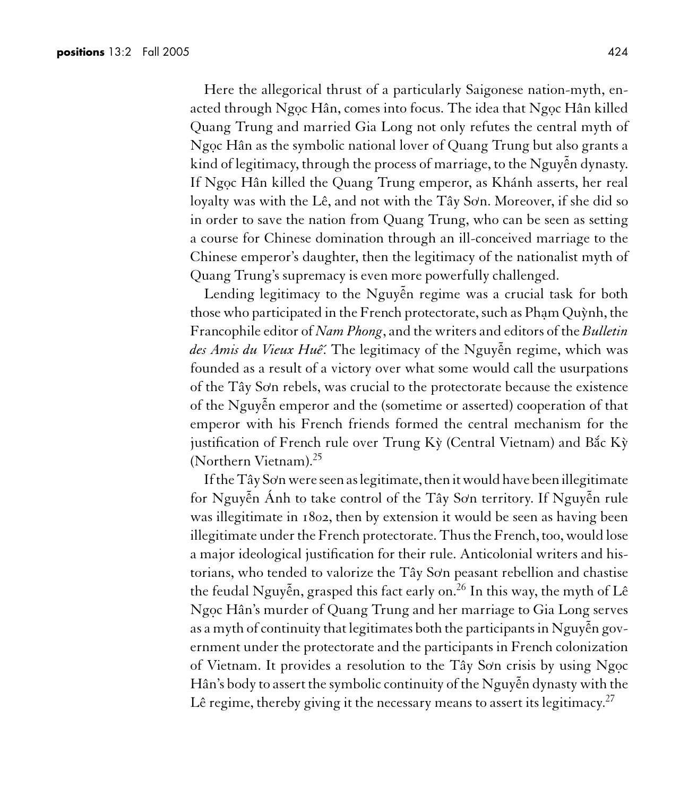Here the allegorical thrust of a particularly Saigonese nation-myth, enacted through Ngọc Hân, comes into focus. The idea that Ngọc Hân killed Quang Trung and married Gia Long not only refutes the central myth of Ngoc Hân as the symbolic national lover of Quang Trung but also grants a kind of legitimacy, through the process of marriage, to the Nguyễn dynasty. If Ngọc Hân killed the Quang Trung emperor, as Khánh asserts, her real loyalty was with the Lê, and not with the Tây Sơn. Moreover, if she did so in order to save the nation from Quang Trung, who can be seen as setting a course for Chinese domination through an ill-conceived marriage to the Chinese emperor's daughter, then the legitimacy of the nationalist myth of Quang Trung's supremacy is even more powerfully challenged.

Lending legitimacy to the Nguyễn regime was a crucial task for both those who participated in the French protectorate, such as Pham Quỳnh, the Francophile editor of *Nam Phong*, and the writers and editors of the *Bulletin des Amis du Vieux Huê*. The legitimacy of the Nguyễn regime, which was founded as a result of a victory over what some would call the usurpations of the Tây So**)** n rebels, was crucial to the protectorate because the existence of the Nguy˜ ên emperor and the (sometime or asserted) cooperation of that emperor with his French friends formed the central mechanism for the justification of French rule over Trung Kỳ (Central Vietnam) and Bắc Kỳ (Northern Vietnam).<sup>25</sup>

Ifthe Tây So**)** n were seen as legitimate,then it would have been illegitimate for Nguyễn Ánh to take control of the Tây Sơn territory. If Nguyễn rule was illegitimate in 1802, then by extension it would be seen as having been illegitimate under the French protectorate. Thus the French, too, would lose a major ideological justification for their rule. Anticolonial writers and historians, who tended to valorize the Tây Sơn peasant rebellion and chastise the feudal Nguyễn, grasped this fact early on.<sup>26</sup> In this way, the myth of Lê Ngọc Hân's murder of Quang Trung and her marriage to Gia Long serves as a myth of continuity that legitimates both the participants in Nguyễn government under the protectorate and the participants in French colonization of Vietnam. It provides a resolution to the Tây Sơn crisis by using Ngọc Hân's body to assert the symbolic continuity of the Nguy˜ ên dynasty with the Lê regime, thereby giving it the necessary means to assert its legitimacy.<sup>27</sup>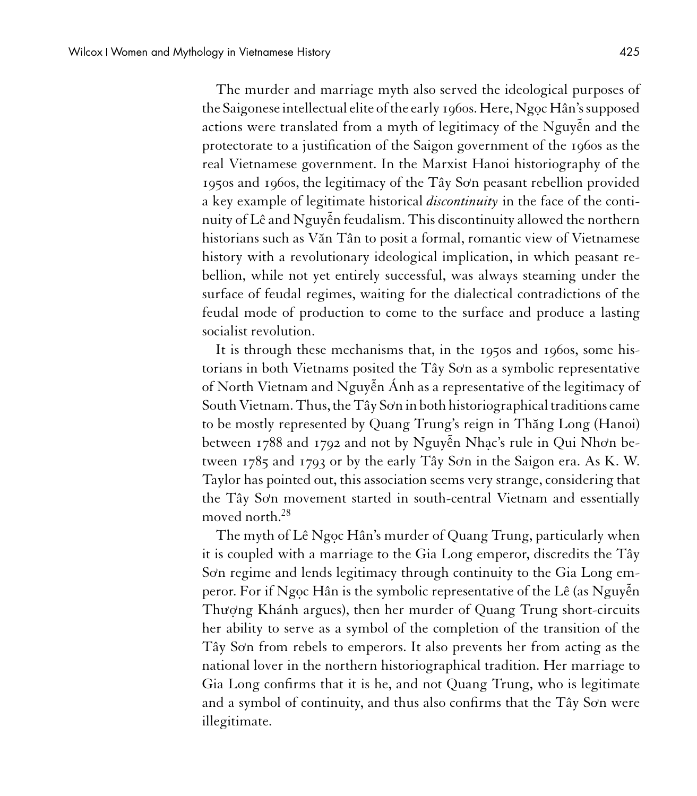The murder and marriage myth also served the ideological purposes of the Saigonese intellectual elite of the early 1960s. Here, Ngoc Hân's supposed actions were translated from a myth of legitimacy of the Nguyễn and the protectorate to a justification of the Saigon government of the 1960s as the real Vietnamese government. In the Marxist Hanoi historiography of the 1950s and 1960s, the legitimacy of the Tây So'n peasant rebellion provided a key example of legitimate historical *discontinuity* in the face of the continuity of Lê and Nguy˜ ên feudalism. This discontinuity allowed the northern historians such as V˘an Tân to posit a formal, romantic view of Vietnamese history with a revolutionary ideological implication, in which peasant rebellion, while not yet entirely successful, was always steaming under the surface of feudal regimes, waiting for the dialectical contradictions of the feudal mode of production to come to the surface and produce a lasting socialist revolution.

It is through these mechanisms that, in the 1950s and 1960s, some historians in both Vietnams posited the Tây Sơn as a symbolic representative of North Vietnam and Nguy˜ ên Ánh as a representative of the legitimacy of South Vietnam. Thus, the Tây Sơn in both historiographical traditions came to be mostly represented by Quang Trung's reign in Thăng Long (Hanoi) between 1788 and 1792 and not by Nguyễn Nhạc's rule in Qui Nhơn between 1785 and 1793 or by the early Tây Sơn in the Saigon era. As K. W. Taylor has pointed out, this association seems very strange, considering that the Tây So**)** n movement started in south-central Vietnam and essentially moved north.<sup>28</sup>

The myth of Lê Ngọc Hân's murder of Quang Trung, particularly when it is coupled with a marriage to the Gia Long emperor, discredits the Tây So**)** n regime and lends legitimacy through continuity to the Gia Long emperor. For if Ngọc Hân is the symbolic representative of the Lê (as Nguyễn Thượng Khánh argues), then her murder of Quang Trung short-circuits her ability to serve as a symbol of the completion of the transition of the Tây So**)** n from rebels to emperors. It also prevents her from acting as the national lover in the northern historiographical tradition. Her marriage to Gia Long confirms that it is he, and not Quang Trung, who is legitimate and a symbol of continuity, and thus also confirms that the Tây Sơn were illegitimate.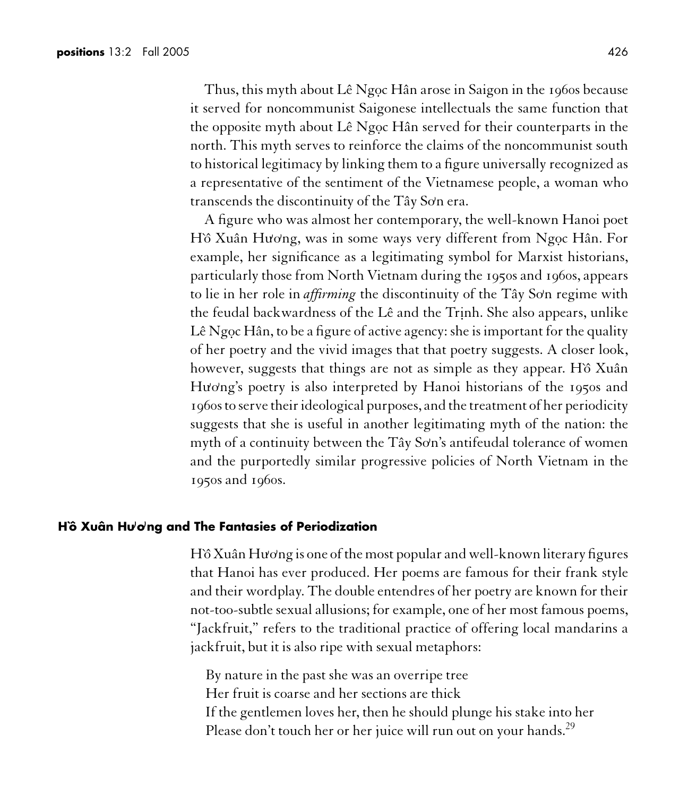Thus, this myth about Lê Ngọc Hân arose in Saigon in the 1960s because it served for noncommunist Saigonese intellectuals the same function that the opposite myth about Lê Ngọc Hân served for their counterparts in the north. This myth serves to reinforce the claims of the noncommunist south to historical legitimacy by linking them to a figure universally recognized as a representative of the sentiment of the Vietnamese people, a woman who transcends the discontinuity of the Tây So'n era.

A figure who was almost her contemporary, the well-known Hanoi poet Hồ Xuân Hương, was in some ways very different from Ngọc Hân. For example, her significance as a legitimating symbol for Marxist historians, particularly those from North Vietnam during the 1950s and 1960s, appears to lie in her role in *affirming* the discontinuity of the Tây Sơn regime with the feudal backwardness of the Lê and the Trinh. She also appears, unlike Lê Ngọc Hân, to be a figure of active agency: she is important for the quality of her poetry and the vivid images that that poetry suggests. A closer look, however, suggests that things are not as simple as they appear. Ho Xuân Hu**)** o**)** ng's poetry is also interpreted by Hanoi historians of the 1950s and 1960s to serve their ideological purposes, and the treatment of her periodicity suggests that she is useful in another legitimating myth of the nation: the myth of a continuity between the Tây Sơn's antifeudal tolerance of women and the purportedly similar progressive policies of North Vietnam in the 1950s and 1960s.

#### **H`ô Xuân Hu) o)ng and The Fantasies of Periodization**

Hồ Xuân Hương is one of the most popular and well-known literary figures that Hanoi has ever produced. Her poems are famous for their frank style and their wordplay. The double entendres of her poetry are known for their not-too-subtle sexual allusions; for example, one of her most famous poems, "Jackfruit," refers to the traditional practice of offering local mandarins a jackfruit, but it is also ripe with sexual metaphors:

By nature in the past she was an overripe tree Her fruit is coarse and her sections are thick If the gentlemen loves her, then he should plunge his stake into her Please don't touch her or her juice will run out on your hands.<sup>29</sup>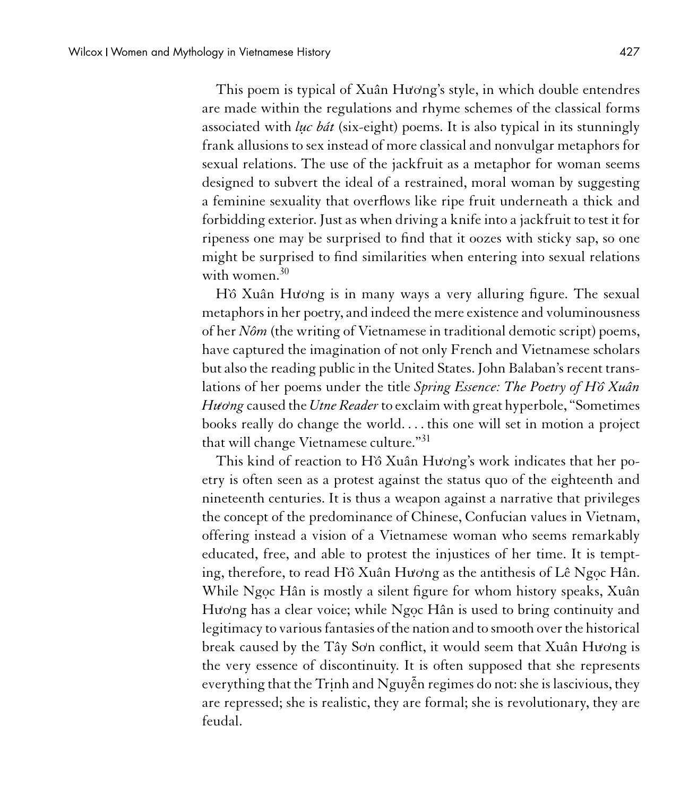This poem is typical of Xuân Hương's style, in which double entendres are made within the regulations and rhyme schemes of the classical forms associated with *luc bát* (six-eight) poems. It is also typical in its stunningly frank allusions to sex instead of more classical and nonvulgar metaphors for sexual relations. The use of the jackfruit as a metaphor for woman seems designed to subvert the ideal of a restrained, moral woman by suggesting a feminine sexuality that overflows like ripe fruit underneath a thick and forbidding exterior. Just as when driving a knife into a jackfruit to test it for ripeness one may be surprised to find that it oozes with sticky sap, so one might be surprised to find similarities when entering into sexual relations with women. $30$ 

Hồ Xuân Hương is in many ways a very alluring figure. The sexual metaphors in her poetry, and indeed the mere existence and voluminousness of her *Nôm* (the writing of Vietnamese in traditional demotic script) poems, have captured the imagination of not only French and Vietnamese scholars but also the reading public in the United States. John Balaban's recent translations of her poems under the title *Spring Essence: The Poetry of H`ˆo Xuân Hu***)** *o***)** *ng* caused the *Utne Reader*to exclaim with great hyperbole, "Sometimes books really do change the world.... this one will set in motion a project that will change Vietnamese culture."<sup>31</sup>

This kind of reaction to Hồ Xuân Hương's work indicates that her poetry is often seen as a protest against the status quo of the eighteenth and nineteenth centuries. It is thus a weapon against a narrative that privileges the concept of the predominance of Chinese, Confucian values in Vietnam, offering instead a vision of a Vietnamese woman who seems remarkably educated, free, and able to protest the injustices of her time. It is tempting, therefore, to read H`ô Xuân Hương as the antithesis of Lê Ngọc Hân. While Ngọc Hân is mostly a silent figure for whom history speaks, Xuân Hương has a clear voice; while Ngọc Hân is used to bring continuity and legitimacy to various fantasies of the nation and to smooth over the historical break caused by the Tây Sơn conflict, it would seem that Xuân Hương is the very essence of discontinuity. It is often supposed that she represents everything that the Trịnh and Nguyễn regimes do not: she is lascivious, they are repressed; she is realistic, they are formal; she is revolutionary, they are feudal.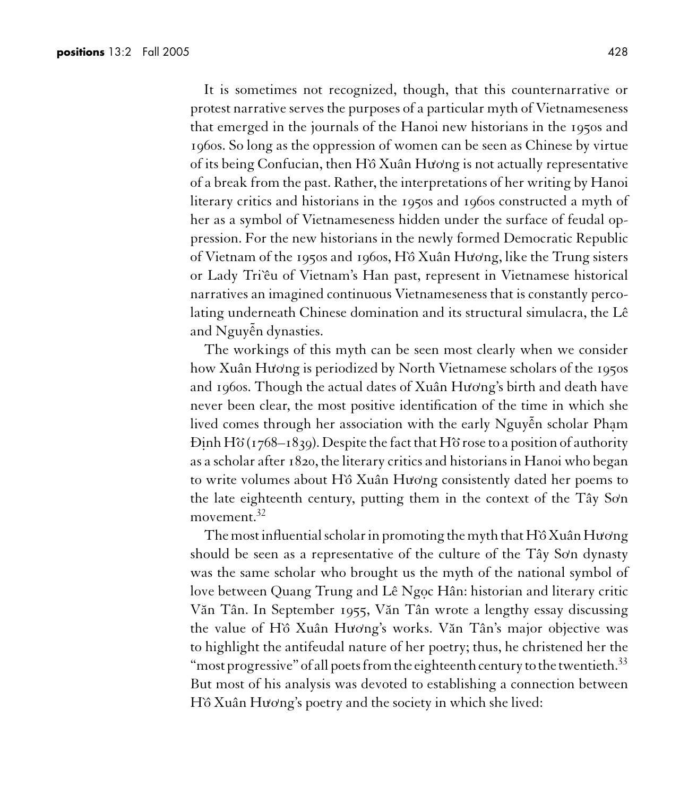It is sometimes not recognized, though, that this counternarrative or protest narrative serves the purposes of a particular myth of Vietnameseness that emerged in the journals of the Hanoi new historians in the 1950s and 1960s. So long as the oppression of women can be seen as Chinese by virtue of its being Confucian, then H`ˆo Xuân Hu**)** o**)** ng is not actually representative of a break from the past. Rather, the interpretations of her writing by Hanoi literary critics and historians in the 1950s and 1960s constructed a myth of her as a symbol of Vietnameseness hidden under the surface of feudal oppression. For the new historians in the newly formed Democratic Republic of Vietnam of the 1950s and 1960s, Hồ Xuân Hương, like the Trung sisters or Lady Tri'êu of Vietnam's Han past, represent in Vietnamese historical narratives an imagined continuous Vietnameseness that is constantly percolating underneath Chinese domination and its structural simulacra, the Lê and Nguy˜ ên dynasties.

The workings of this myth can be seen most clearly when we consider how Xuân Hương is periodized by North Vietnamese scholars of the 1950s and 1960s. Though the actual dates of Xuân Hương's birth and death have never been clear, the most positive identification of the time in which she lived comes through her association with the early Nguyễn scholar Phạm Ði.nh Hˆo**<sup>&</sup>gt;** (1768–1839). Despite the fact that Hˆo**<sup>&</sup>gt;** rose to a position of authority as a scholar after 1820, the literary critics and historians in Hanoi who began to write volumes about Hồ Xuân Hương consistently dated her poems to the late eighteenth century, putting them in the context of the Tây Sơn movement.<sup>32</sup>

The most influential scholar in promoting the myth that H`ô Xuân Hương should be seen as a representative of the culture of the Tây Sơn dynasty was the same scholar who brought us the myth of the national symbol of love between Quang Trung and Lê Ngọc Hân: historian and literary critic Văn Tân. In September 1955, Văn Tân wrote a lengthy essay discussing the value of Hồ Xuân Hương's works. Văn Tân's major objective was to highlight the antifeudal nature of her poetry; thus, he christened her the "most progressive" of all poets from the eighteenth century to the twentieth. $33$ But most of his analysis was devoted to establishing a connection between Hồ Xuân Hương's poetry and the society in which she lived: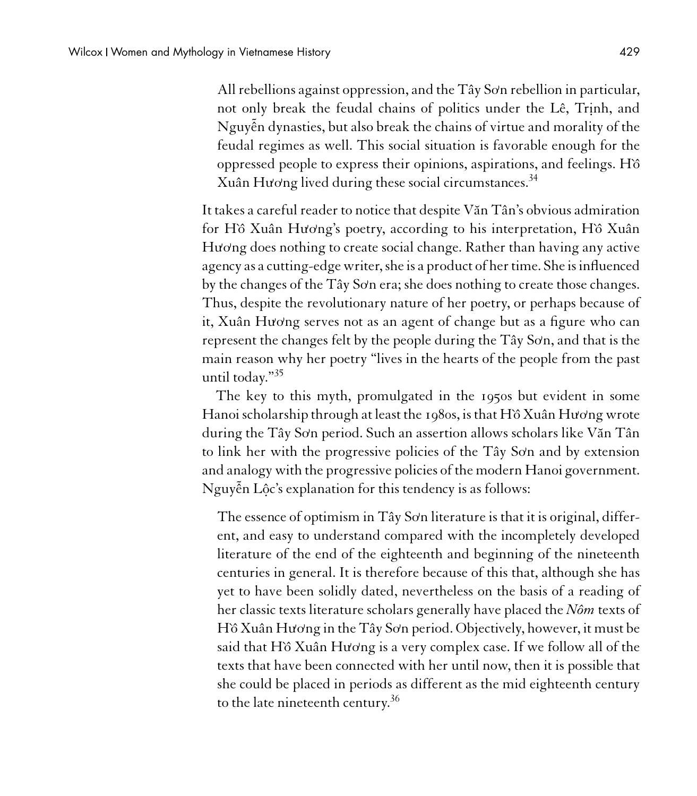All rebellions against oppression, and the Tây So'n rebellion in particular, not only break the feudal chains of politics under the Lê, Trinh, and Nguy˜ ên dynasties, but also break the chains of virtue and morality of the feudal regimes as well. This social situation is favorable enough for the oppressed people to express their opinions, aspirations, and feelings. H $\delta$ Xuân Hương lived during these social circumstances.<sup>34</sup>

It takes a careful reader to notice that despite V˘an Tân's obvious admiration for Hồ Xuân Hương's poetry, according to his interpretation, Hồ Xuân Hương does nothing to create social change. Rather than having any active agency as a cutting-edge writer, she is a product of her time. She is influenced by the changes of the Tây So'n era; she does nothing to create those changes. Thus, despite the revolutionary nature of her poetry, or perhaps because of it, Xuân Hương serves not as an agent of change but as a figure who can represent the changes felt by the people during the Tây Sơn, and that is the main reason why her poetry "lives in the hearts of the people from the past until today."<sup>35</sup>

The key to this myth, promulgated in the 1950s but evident in some Hanoi scholarship through at least the 1980s, is that H`ô Xuân Hương wrote during the Tây Sơn period. Such an assertion allows scholars like Văn Tân to link her with the progressive policies of the Tây Sơn and by extension and analogy with the progressive policies of the modern Hanoi government. Nguyễn Lộc's explanation for this tendency is as follows:

The essence of optimism in Tây So'n literature is that it is original, different, and easy to understand compared with the incompletely developed literature of the end of the eighteenth and beginning of the nineteenth centuries in general. It is therefore because of this that, although she has yet to have been solidly dated, nevertheless on the basis of a reading of her classic texts literature scholars generally have placed the *Nôm* texts of Hồ Xuân Hương in the Tây Sơn period. Objectively, however, it must be said that Hồ Xuân Hương is a very complex case. If we follow all of the texts that have been connected with her until now, then it is possible that she could be placed in periods as different as the mid eighteenth century to the late nineteenth century.<sup>36</sup>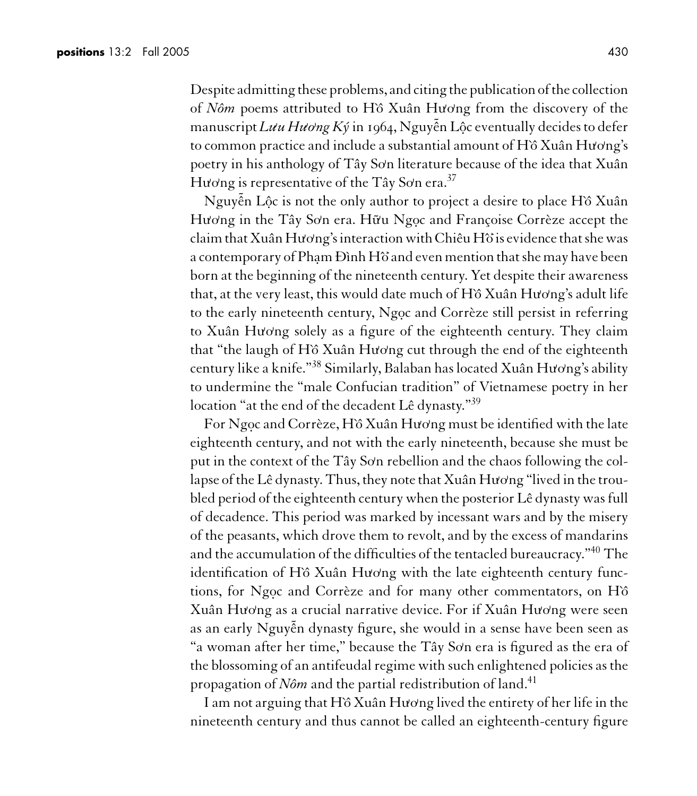Despite admitting these problems, and citing the publication of the collection of *Nôm* poems attributed to H`ˆo Xuân Hu**)** o**)** ng from the discovery of the manuscript *Luu Huong Ký* in 1964, Nguyễn Lộc eventually decides to defer to common practice and include a substantial amount of H`ô Xuân Hương's poetry in his anthology of Tây Sơn literature because of the idea that Xuân Hương is representative of the Tây Sơn era.<sup>37</sup>

Nguyễn Lộc is not the only author to project a desire to place Hồ Xuân Hương in the Tây Sơn era. Hữu Ngọc and Françoise Corrèze accept the claimthat Xuân Hu**)** o**)** ng's interaction with Chiêu Hˆo**<sup>&</sup>gt;** is evidencethat she was a contemporary of Phạm Đình Hồ and even mention that she may have been born at the beginning of the nineteenth century. Yet despite their awareness that, at the very least, this would date much of H`ô Xuân Hương's adult life to the early nineteenth century, Ngoc and Corrèze still persist in referring to Xuân Hương solely as a figure of the eighteenth century. They claim that "the laugh of H`ô Xuân Hương cut through the end of the eighteenth century like a knife."<sup>38</sup> Similarly, Balaban has located Xuân Hương's ability to undermine the "male Confucian tradition" of Vietnamese poetry in her location "at the end of the decadent Lê dynasty."<sup>39</sup>

For Ngọc and Corrèze, Hồ Xuân Hương must be identified with the late eighteenth century, and not with the early nineteenth, because she must be put in the context of the Tây Sơn rebellion and the chaos following the collapse of the Lê dynasty. Thus, they note that Xuân Hương "lived in the troubled period of the eighteenth century when the posterior Lê dynasty was full of decadence. This period was marked by incessant wars and by the misery of the peasants, which drove them to revolt, and by the excess of mandarins and the accumulation of the difficulties of the tentacled bureaucracy."<sup>40</sup> The identification of Hồ Xuân Hương with the late eighteenth century functions, for Ngọc and Corrèze and for many other commentators, on Hồ Xuân Hu**)** o**)** ng as a crucial narrative device. For if Xuân Hu**)** o**)** ng were seen as an early Nguyễn dynasty figure, she would in a sense have been seen as "a woman after her time," because the Tây So**)** n era is figured as the era of the blossoming of an antifeudal regime with such enlightened policies as the propagation of *Nôm* and the partial redistribution of land.<sup>41</sup>

I am not arguing that H`ô Xuân Hương lived the entirety of her life in the nineteenth century and thus cannot be called an eighteenth-century figure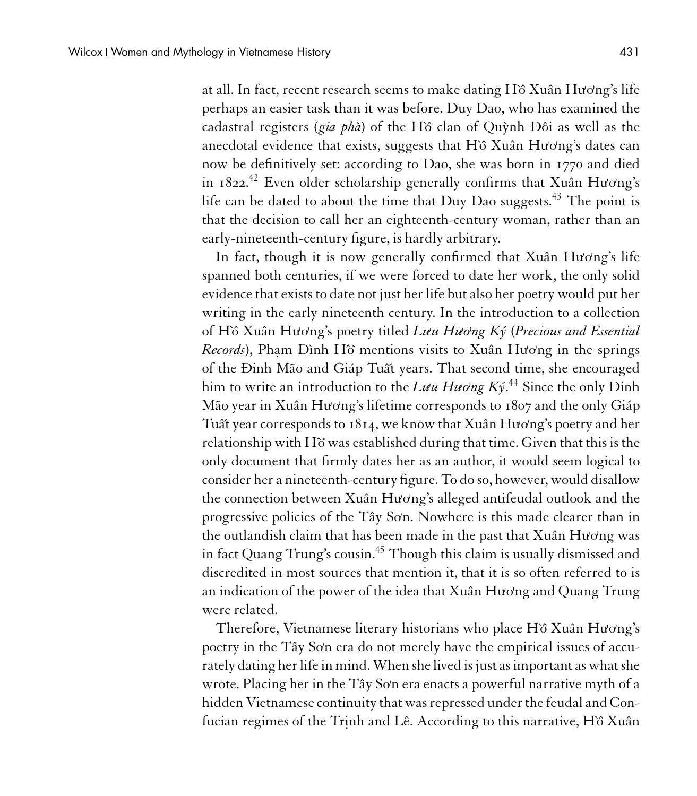at all. In fact, recent research seems to make dating H`ô Xuân Hương's life perhaps an easier task than it was before. Duy Dao, who has examined the cadastral registers (*gia pha***<sup>&</sup>gt;** ) of the H`ˆo clan of Qu`ynh Ðôi as well as the anecdotal evidence that exists, suggests that H`ô Xuân Hương's dates can now be definitively set: according to Dao, she was born in 1770 and died in 1822.<sup>42</sup> Even older scholarship generally confirms that Xuân Hương's life can be dated to about the time that Duy Dao suggests.<sup>43</sup> The point is that the decision to call her an eighteenth-century woman, rather than an early-nineteenth-century figure, is hardly arbitrary.

In fact, though it is now generally confirmed that Xuân Hương's life spanned both centuries, if we were forced to date her work, the only solid evidence that exists to date not just her life but also her poetry would put her writing in the early nineteenth century. In the introduction to a collection of H`ˆo Xuân Hu**)** o**)** ng's poetry titled *Lu***)** *u Hu***)** *o***)** *ng Ký* (*Precious and Essential Records*), Pha.m Ðình Hˆo**<sup>&</sup>gt;** mentions visits to Xuân Hu**)** o**)** ng in the springs of the Đinh Mão and Giáp Tuất years. That second time, she encouraged him to write an introduction to the Lu $u$  Huơng Ký.<sup>44</sup> Since the only Đinh Mão year in Xuân Hương's lifetime corresponds to 1807 and the only Giáp Tuất year corresponds to 1814, we know that Xuân Hương's poetry and her relationship with Hˆo**<sup>&</sup>gt;** was established during that time. Given that this is the only document that firmly dates her as an author, it would seem logical to consider her a nineteenth-century figure. To do so, however, would disallow the connection between Xuân Hương's alleged antifeudal outlook and the progressive policies of the Tây Sơn. Nowhere is this made clearer than in the outlandish claim that has been made in the past that Xuân Hương was in fact Quang Trung's cousin.<sup>45</sup> Though this claim is usually dismissed and discredited in most sources that mention it, that it is so often referred to is an indication of the power of the idea that Xuân Hương and Quang Trung were related.

Therefore, Vietnamese literary historians who place H`ô Xuân Hương's poetry in the Tây Sơn era do not merely have the empirical issues of accurately dating her life in mind.When she lived is just as important as what she wrote. Placing her in the Tây So**)** n era enacts a powerful narrative myth of a hidden Vietnamese continuity that was repressed under the feudal and Confucian regimes of the Trinh and Lê. According to this narrative, Hồ Xuân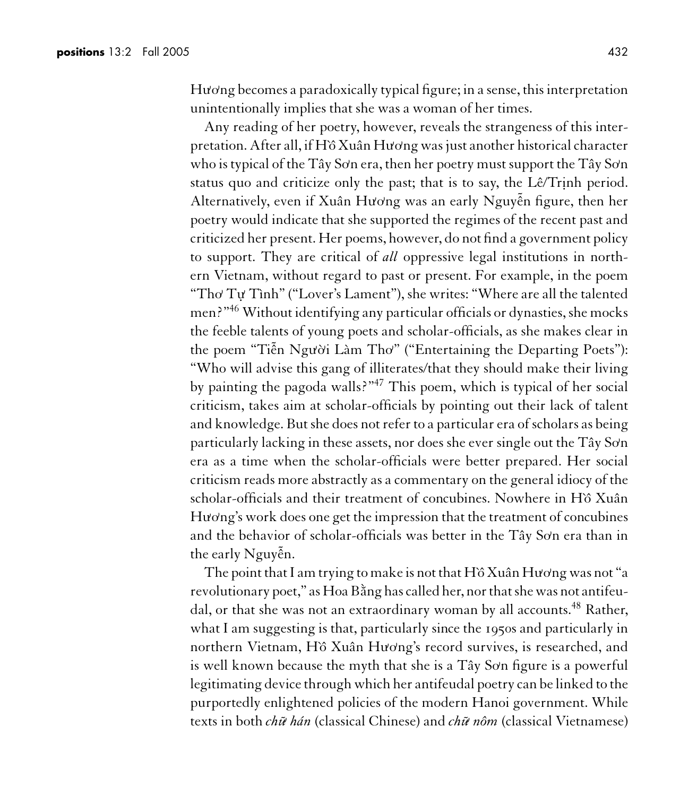Hu⁄ong becomes a paradoxically typical figure; in a sense, this interpretation unintentionally implies that she was a woman of her times.

Any reading of her poetry, however, reveals the strangeness of this interpretation. After all, if H`ˆo Xuân Hu**)** o**)** ng was just another historical character who is typical of the Tây Sơn era, then her poetry must support the Tây Sơn status quo and criticize only the past; that is to say, the Lê/Trinh period. Alternatively, even if Xuân Hương was an early Nguyễn figure, then her poetry would indicate that she supported the regimes of the recent past and criticized her present. Her poems, however, do not find a government policy to support. They are critical of *all* oppressive legal institutions in northern Vietnam, without regard to past or present. For example, in the poem "Tho**)** Tu. **)** Tình" ("Lover's Lament"), she writes: "Where are all the talented men?"<sup>46</sup> Without identifying any particular officials or dynasties, she mocks the feeble talents of young poets and scholar-officials, as she makes clear in the poem "Tiễn Người Làm Thơ" ("Entertaining the Departing Poets"): "Who will advise this gang of illiterates/that they should make their living by painting the pagoda walls?"<sup>47</sup> This poem, which is typical of her social criticism, takes aim at scholar-officials by pointing out their lack of talent and knowledge. But she does not refer to a particular era of scholars as being particularly lacking in these assets, nor does she ever single out the Tây Sơn era as a time when the scholar-officials were better prepared. Her social criticism reads more abstractly as a commentary on the general idiocy of the scholar-officials and their treatment of concubines. Nowhere in Hồ Xuân Hương's work does one get the impression that the treatment of concubines and the behavior of scholar-officials was better in the Tây Sơn era than in the early Nguyễn.

The point that I am trying to make is not that H`ô Xuân Hương was not "a revolutionary poet," as Hoa Bằng has called her, nor that she was not antifeudal, or that she was not an extraordinary woman by all accounts.<sup>48</sup> Rather, what I am suggesting is that, particularly since the 1950s and particularly in northern Vietnam, Hồ Xuân Hương's record survives, is researched, and is well known because the myth that she is a Tây Sơn figure is a powerful legitimating device through which her antifeudal poetry can be linked to the purportedly enlightened policies of the modern Hanoi government. While texts in both *ch˜u***)** *hán* (classical Chinese) and *ch˜u***)** *nôm* (classical Vietnamese)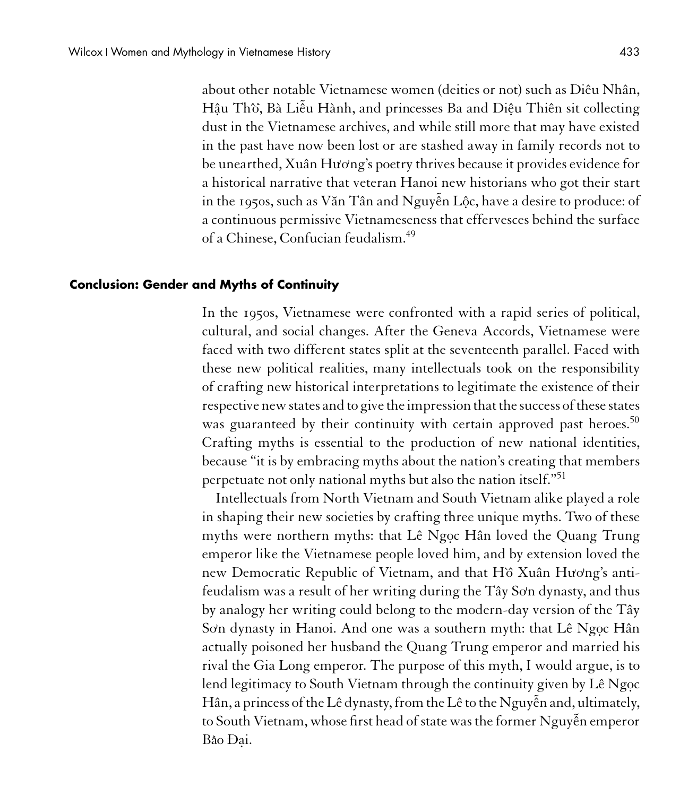about other notable Vietnamese women (deities or not) such as Diêu Nhân, Hậu Thờ, Bà Liễu Hành, and princesses Ba and Diệu Thiên sit collectin<mark>g</mark> dust in the Vietnamese archives, and while still more that may have existed in the past have now been lost or are stashed away in family records not to be unearthed, Xuân Hương's poetry thrives because it provides evidence for a historical narrative that veteran Hanoi new historians who got their start in the 1950s, such as Văn Tân and Nguyễn Lộc, have a desire to produce: of a continuous permissive Vietnameseness that effervesces behind the surface of a Chinese, Confucian feudalism.<sup>49</sup>

#### **Conclusion: Gender and Myths of Continuity**

In the 1950s, Vietnamese were confronted with a rapid series of political, cultural, and social changes. After the Geneva Accords, Vietnamese were faced with two different states split at the seventeenth parallel. Faced with these new political realities, many intellectuals took on the responsibility of crafting new historical interpretations to legitimate the existence of their respective new states and to give the impression that the success of these states was guaranteed by their continuity with certain approved past heroes.<sup>50</sup> Crafting myths is essential to the production of new national identities, because "it is by embracing myths about the nation's creating that members perpetuate not only national myths but also the nation itself."<sup>51</sup>

Intellectuals from North Vietnam and South Vietnam alike played a role in shaping their new societies by crafting three unique myths. Two of these myths were northern myths: that Lê Ngọc Hân loved the Quang Trung emperor like the Vietnamese people loved him, and by extension loved the new Democratic Republic of Vietnam, and that H`ô Xuân Hương's antifeudalism was a result of her writing during the Tây Sơn dynasty, and thus by analogy her writing could belong to the modern-day version of the Tây Sơn dynasty in Hanoi. And one was a southern myth: that Lê Ngọc Hân actually poisoned her husband the Quang Trung emperor and married his rival the Gia Long emperor. The purpose of this myth, I would argue, is to lend legitimacy to South Vietnam through the continuity given by Lê Ngoc Hân, a princess of the Lê dynasty, from the Lê to the Nguy˜ ên and, ultimately, to South Vietnam, whose first head of state was the former Nguy˜ ên emperor Ba**<sup>&</sup>gt;** o Ða.i.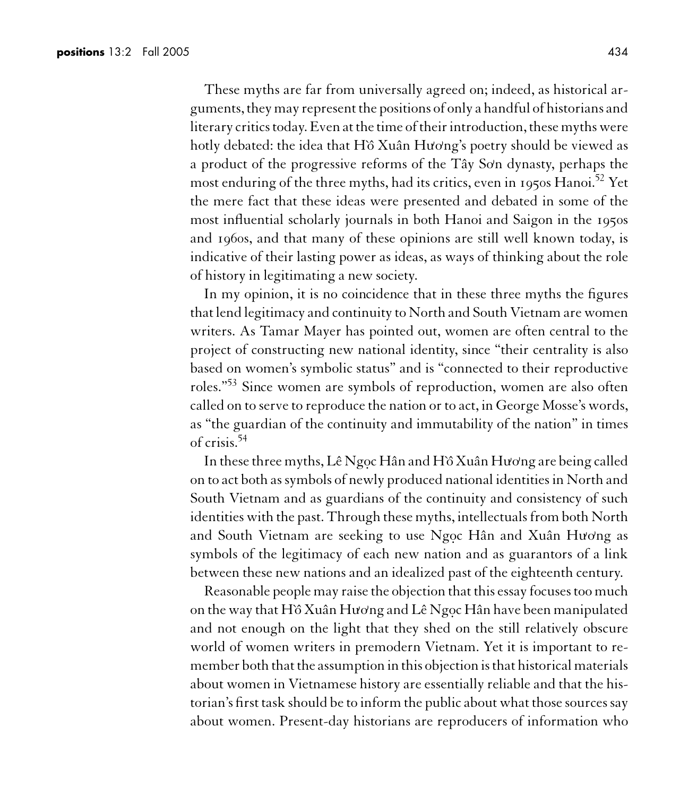These myths are far from universally agreed on; indeed, as historical arguments, they may represent the positions of only a handful of historians and literary critics today. Even at the time of their introduction, these myths were hotly debated: the idea that H`ô Xuân Hương's poetry should be viewed as a product of the progressive reforms of the Tây Sơn dynasty, perhaps the most enduring of the three myths, had its critics, even in 1950s Hanoi.<sup>52</sup> Yet the mere fact that these ideas were presented and debated in some of the most influential scholarly journals in both Hanoi and Saigon in the 1950s and 1960s, and that many of these opinions are still well known today, is indicative of their lasting power as ideas, as ways of thinking about the role of history in legitimating a new society.

In my opinion, it is no coincidence that in these three myths the figures that lend legitimacy and continuity to North and South Vietnam are women writers. As Tamar Mayer has pointed out, women are often central to the project of constructing new national identity, since "their centrality is also based on women's symbolic status" and is "connected to their reproductive roles."<sup>53</sup> Since women are symbols of reproduction, women are also often called on to serve to reproduce the nation or to act, in George Mosse's words, as "the guardian of the continuity and immutability of the nation" in times of crisis.<sup>54</sup>

In these three myths, Lê Ngọc Hân and Hồ Xuân Hương are being called on to act both as symbols of newly produced national identities in North and South Vietnam and as guardians of the continuity and consistency of such identities with the past. Through these myths, intellectuals from both North and South Vietnam are seeking to use Ngọc Hân and Xuân Hương as symbols of the legitimacy of each new nation and as guarantors of a link between these new nations and an idealized past of the eighteenth century.

Reasonable people may raise the objection that this essay focuses too much on the way that H`ˆo Xuân Hu**)** o**)** ng and Lê Ngo.c Hân have been manipulated and not enough on the light that they shed on the still relatively obscure world of women writers in premodern Vietnam. Yet it is important to remember both that the assumption in this objection is that historical materials about women in Vietnamese history are essentially reliable and that the historian's first task should be to inform the public about what those sources say about women. Present-day historians are reproducers of information who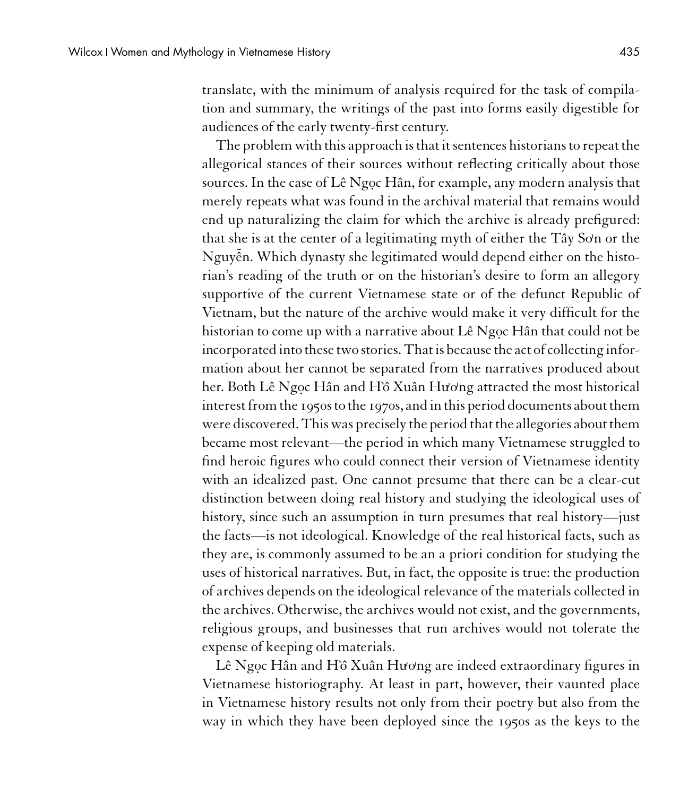translate, with the minimum of analysis required for the task of compilation and summary, the writings of the past into forms easily digestible for audiences of the early twenty-first century.

The problem with this approach is that it sentences historians to repeat the allegorical stances of their sources without reflecting critically about those sources. In the case of Lê Ngọc Hân, for example, any modern analysis that merely repeats what was found in the archival material that remains would end up naturalizing the claim for which the archive is already prefigured: that she is at the center of a legitimating myth of either the Tây Sơn or the Nguy˜ ên. Which dynasty she legitimated would depend either on the historian's reading of the truth or on the historian's desire to form an allegory supportive of the current Vietnamese state or of the defunct Republic of Vietnam, but the nature of the archive would make it very difficult for the historian to come up with a narrative about Lê Ngọc Hân that could not be incorporated into these two stories. That is because the act of collecting information about her cannot be separated from the narratives produced about her. Both Lê Ngọc Hân and Hồ Xuân Hương attracted the most historical interest from the 1950s to the 1970s, and in this period documents about them were discovered. This was precisely the period that the allegories about them became most relevant—the period in which many Vietnamese struggled to find heroic figures who could connect their version of Vietnamese identity with an idealized past. One cannot presume that there can be a clear-cut distinction between doing real history and studying the ideological uses of history, since such an assumption in turn presumes that real history—just the facts—is not ideological. Knowledge of the real historical facts, such as they are, is commonly assumed to be an a priori condition for studying the uses of historical narratives. But, in fact, the opposite is true: the production of archives depends on the ideological relevance of the materials collected in the archives. Otherwise, the archives would not exist, and the governments, religious groups, and businesses that run archives would not tolerate the expense of keeping old materials.

Lê Ngọc Hân and Hồ Xuân Hương are indeed extraordinary figures in Vietnamese historiography. At least in part, however, their vaunted place in Vietnamese history results not only from their poetry but also from the way in which they have been deployed since the 1950s as the keys to the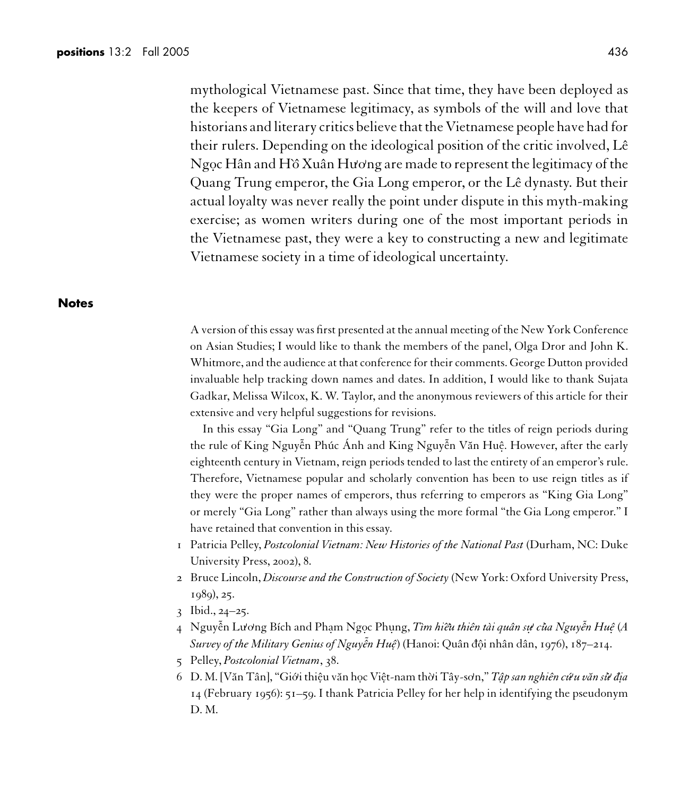mythological Vietnamese past. Since that time, they have been deployed as the keepers of Vietnamese legitimacy, as symbols of the will and love that historians and literary critics believethatthe Vietnamese people have had for their rulers. Depending on the ideological position of the critic involved, Lê Ngọc Hân and Hồ Xuân Hương are made to represent the legitimacy of the Quang Trung emperor, the Gia Long emperor, or the Lê dynasty. But their actual loyalty was never really the point under dispute in this myth-making exercise; as women writers during one of the most important periods in the Vietnamese past, they were a key to constructing a new and legitimate Vietnamese society in a time of ideological uncertainty.

#### **Notes**

A version of this essay was first presented at the annual meeting of the New York Conference on Asian Studies; I would like to thank the members of the panel, Olga Dror and John K. Whitmore, and the audience at that conference for their comments. George Dutton provided invaluable help tracking down names and dates. In addition, I would like to thank Sujata Gadkar, Melissa Wilcox, K. W. Taylor, and the anonymous reviewers of this article for their extensive and very helpful suggestions for revisions.

In this essay "Gia Long" and "Quang Trung" refer to the titles of reign periods during the rule of King Nguyễn Phúc Ánh and King Nguyễn Văn Huệ. However, after the early eighteenth century in Vietnam, reign periods tended to last the entirety of an emperor's rule. Therefore, Vietnamese popular and scholarly convention has been to use reign titles as if they were the proper names of emperors, thus referring to emperors as "King Gia Long" or merely "Gia Long" rather than always using the more formal "the Gia Long emperor." I have retained that convention in this essay.

- 1 Patricia Pelley, *Postcolonial Vietnam: New Histories of the National Past* (Durham, NC: Duke University Press, 2002), 8.
- 2 Bruce Lincoln, *Discourse and the Construction of Society* (New York: Oxford University Press, 1989), 25.
- 3 Ibid., 24–25.
- 4 Nguyễn Lương Bích and Phạm Ngọc Phụng, *Tìm hiều thiên tài quân sự của Nguyễn Huệ (A Survey of the Military Genius of Nguy ˜ ên Huê.*) (Hanoi: Quân ¯dô.i nhân dân, 1976), 187–214.
- 5 Pelley, *Postcolonial Vietnam*, 38.
- 6 D. M. [Văn Tân], "Giới thiệu văn học Việt-nam thời Tây-sơn," Tập san nghiên cứu văn sử địa 14 (February 1956): 51–59. I thank Patricia Pelley for her help in identifying the pseudonym D. M.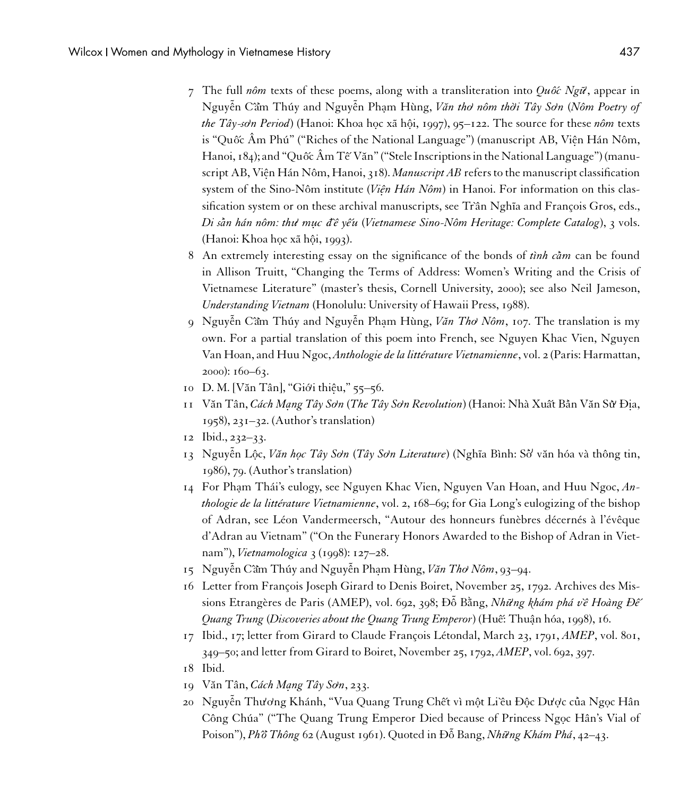- 7 The full *nôm* texts of these poems, along with a transliteration into  $Qu\acute{o}c$  Ng $\ddot{u}$ , appear in Nguy˜ ên Cˆa**<sup>&</sup>gt;** m Thúy and Nguy˜ ên Pha.m Hùng, *V˘an tho***)** *nôm thò***)** *i Tây So***)***n* (*Nôm Poetry of the Tây-son Period*) (Hanoi: Khoa hoc xã hôi, 1997), 95–122. The source for these *nôm* texts is "Quốc Âm Phú" ("Riches of the National Language") (manuscript AB, Viên Hán Nôm, Hanoi, 184); and "Quốc Âm Tế Văn" ("Stele Inscriptions in the National Language") (manuscript AB, Viện Hán Nôm, Hanoi, 318). *Manuscript AB* refers to the manuscript classification system of the Sino-Nôm institute (*Viện Hán Nôm*) in Hanoi. For information on this classification system or on these archival manuscripts, see Trần Nghĩa and François Gros, eds., *Di sa***<sup>&</sup>gt;** *n hán nôm: thu***)** *mu. c ¯d`ê y ´êu* (*Vietnamese Sino-Nôm Heritage: Complete Catalog*), 3 vols. (Hanoi: Khoa hoc xã hôi, 1993).
- 8 An extremely interesting essay on the significance of the bonds of *tình cầm* can be found in Allison Truitt, "Changing the Terms of Address: Women's Writing and the Crisis of Vietnamese Literature" (master's thesis, Cornell University, 2000); see also Neil Jameson, *Understanding Vietnam* (Honolulu: University of Hawaii Press, 1988).
- 9 Nguy˜ ên Cˆa**<sup>&</sup>gt;** m Thúy and Nguy˜ ên Pha.m Hùng, *V˘an Tho***)** *Nôm*, 107. The translation is my own. For a partial translation of this poem into French, see Nguyen Khac Vien, Nguyen Van Hoan, and Huu Ngoc, *Anthologie de la littérature Vietnamienne*, vol. 2 (Paris: Harmattan, 2000): 160–63.
- 10 D. M. [V˘an Tân], "Gió**)** i thiê.u," 55–56.
- 11 V˘an Tân, *Cách Ma. ng Tây So***)***n* (*The Tây So***)***n Revolution*) (Hanoi: Nhà Xu ´ât Ba**<sup>&</sup>gt;** nV˘an Su**<sup>&</sup>gt;)** Ði.a, 1958), 231–32. (Author's translation)
- 12 Ibid., 232–33.
- 13 Nguy˜ ên Lô.c, *V˘an ho.c Tây So***)***n* (*Tây So***)***n Literature*) (Ngh˜ıa Bình: So**<sup>&</sup>gt; )** v˘an hóa và thông tin, 1986), 79. (Author's translation)
- 14 For Pham Thái's eulogy, see Nguyen Khac Vien, Nguyen Van Hoan, and Huu Ngoc, An*thologie de la littérature Vietnamienne*, vol. 2, 168–69; for Gia Long's eulogizing of the bishop of Adran, see Léon Vandermeersch, "Autour des honneurs funèbres décernés à l'évêque d'Adran au Vietnam" ("On the Funerary Honors Awarded to the Bishop of Adran in Vietnam"), *Vietnamologica* 3 (1998): 127–28.
- 15 Nguyễn Cầm Thúy and Nguyễn Phạm Hùng, Văn Thơ Nôm, 93-94.
- 16 Letter from François Joseph Girard to Denis Boiret, November 25, 1792. Archives des Missions Etrangères de Paris (AMEP), vol. 692, 398; Đỗ Bằng, Những khám phá về Hoàng Đế *Quang Trung (Discoveries about the Quang Trung Emperor*) (Huế: Thuân hóa, 1998), 16.
- 17 Ibid., 17; letter from Girard to Claude François Létondal, March 23, 1791, *AMEP*, vol. 801, 349–50; and letter from Girard to Boiret, November 25, 1792, *AMEP*, vol. 692, 397.
- 18 Ibid.
- 19 Văn Tân, *Cách Mang Tây Sơn*, 233.
- 20 Nguyễn Thương Khánh, "Vua Quang Trung Chết vì một Li`êu Độc Dược của Ngọc Hân Công Chúa" ("The Quang Trung Emperor Died because of Princess Ngoc Hân's Vial of Poison"), *Phˆo***<sup>&</sup>gt;** *Thông* 62 (August 1961). Quoted in Ðô Bang, ˜ *Nh˜u***)** *ng Khám Phá*, 42–43.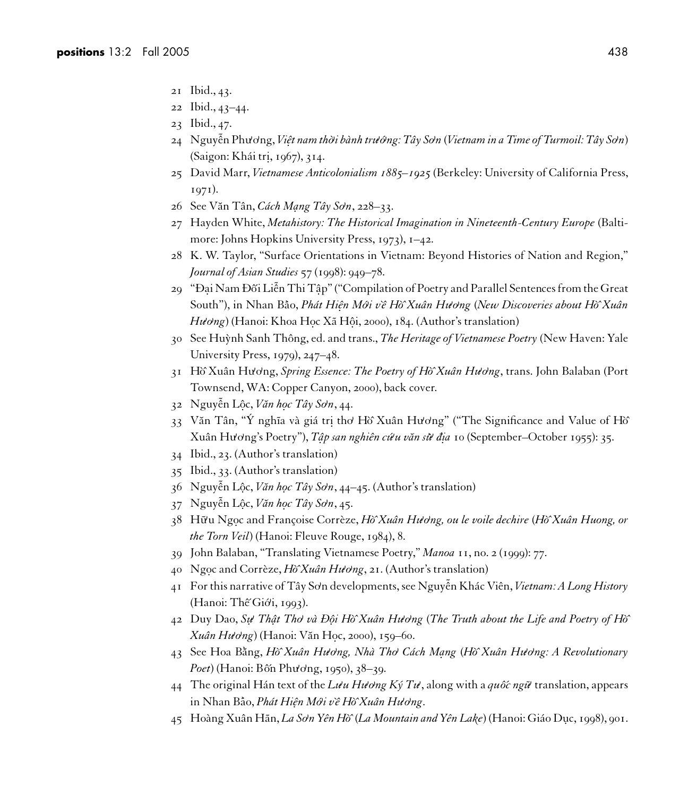- 21 Ibid., 43.
- 22 Ibid., 43–44.
- 23 Ibid., 47.
- 24 Nguy˜ ên Phu**)** o**)**ng, *Viê.t nam thò***)** *i bành tru***)** *ó***)** *ng: Tây So***)***n* (*Vietnam in a Time of Turmoil: Tây So***)***n*) (Saigon: Khái tri., 1967), 314.
- 25 David Marr, *Vietnamese Anticolonialism 1885–1925* (Berkeley: University of California Press, 1971).
- 26 See V˘an Tân, *Cách Ma. ng Tây So***)***n*, 228–33.
- 27 Hayden White, *Metahistory: The Historical Imagination in Nineteenth-Century Europe* (Baltimore: Johns Hopkins University Press, 1973), 1–42.
- 28 K. W. Taylor, "Surface Orientations in Vietnam: Beyond Histories of Nation and Region," *Journal of Asian Studies* 57 (1998): 949–78.
- 29 "Đại Nam Đối Liễn Thi Tập" ("Compilation of Poetry and Parallel Sentences from the Great South"), in Nhan Ba**<sup>&</sup>gt;** o, *Phát Hiê. n Mó***)** *i v`ê H`ˆo Xuân Hu***)** *o***)***ng* (*New Discoveries about H`ˆo Xuân Hu* $\omega$ ng) (Hanoi: Khoa Học Xã Hội, 2000), 184. (Author's translation)
- 30 See Hu`ynh Sanh Thông, ed. and trans., *The Heritage of Vietnamese Poetry* (New Haven: Yale University Press, 1979), 247–48.
- 31 H`ˆo Xuân Hu**)** o**)**ng, *Spring Essence: The Poetry of H`ˆo Xuân Hu***)** *o***)***ng*, trans. John Balaban (Port Townsend, WA: Copper Canyon, 2000), back cover.
- 32 Nguy˜ ên Lô.c, *V˘an ho.c Tây So***)***n*, 44.
- 33 Văn Tân, "Ý nghĩa và giá tri thơ Hồ Xuân Hương" ("The Significance and Value of Hồ Xuân Hu**)** o**)**ng's Poetry"), *Tâ. p san nghiên cú***)** *u v˘an su***<sup>&</sup>gt;)** *di¯.a* 10 (September–October 1955): 35.
- 34 Ibid., 23. (Author's translation)
- 35 Ibid., 33. (Author's translation)
- 36 Nguyễn Lộc, *Văn học Tây Sơn*, 44–45. (Author's translation)
- 37 Nguy˜ ên Lô.c, *V˘an ho.c Tây So***)***n*, 45.
- 38 H ˜u**)** u Ngo.c and Françoise Corrèze, *H`ˆo Xuân Hu***)** *o***)***ng, ou le voile dechire* (*H`ˆo Xuân Huong, or the Torn Veil*) (Hanoi: Fleuve Rouge, 1984), 8.
- 39 John Balaban, "Translating Vietnamese Poetry," *Manoa* 11, no. 2 (1999): 77.
- 40 Ngoc and Corrèze, *Hò Xuân Hudng*, 21. (Author's translation)
- 41 For this narrative of Tây So**)**n developments, see Nguy˜ ên Khác Viên, *Vietnam: A Long History* (Hanoi: Thế Giới, 1993).
- 42 Duy Dao, *Su.* **)** *Thâ. t Tho***)** *và Ðô. i H`ˆo Xuân Hu***)** *o***)***ng* (*The Truth about the Life and Poetry of H`ˆo Xuân Hu***)** *o***)***ng*) (Hanoi: V˘an Ho.c, 2000), 159–60.
- 43 See Hoa Bang, `˘ *H`ˆo Xuân Hu***)** *o***)***ng, Nhà Tho***)** *Cách Ma. ng* (*H`ˆo Xuân Hu***)** *o***)***ng: A Revolutionary Poet*) (Hanoi: Bốn Phương, 1950), 38–39.
- 44 The original Hán text of the  $L \hat{u} u H \hat{u}$  *ong Ký Tu*<sup> $\hat{u}$ </sup>, along with a *quôc ngữ* translation, appears in Nhan Ba**<sup>&</sup>gt;** o, *Phát Hiê. n Mó***)** *i v`ê H`ˆo Xuân Hu***)** *o***)***ng*.
- 45 Hoàng Xuân Hãn, *La So***)***n Yên H`ˆo* (*La Mountain and Yên Lake*) (Hanoi: Giáo Du.c, 1998), 901.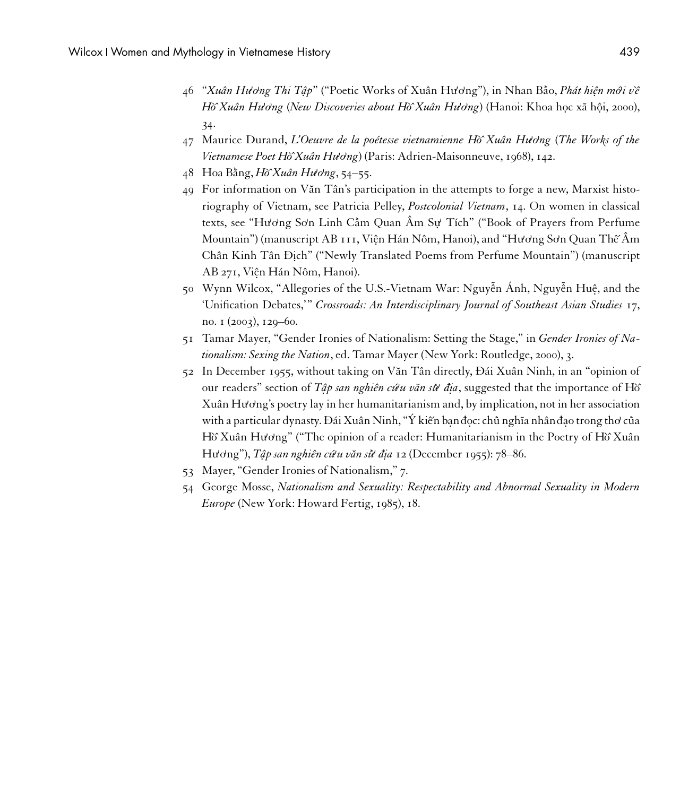- 46 "*Xuân Hu***)** *o***)***ng Thi Tâ. p*" ("Poetic Works of Xuân Hu**)** o**)**ng"), in Nhan Ba**<sup>&</sup>gt;** o, *Phát hiê. n mó***)** *i v`ê Hồ* Xuân Hương (New Discoveries about Hồ Xuân Hương) (Hanoi: Khoa hoc xã hôi, 2000), 34.
- 47 Maurice Durand, *L'Oeuvre de la poétesse vietnamienne H`ˆo Xuân Hu***)** *o***)***ng* (*The Works of the Vietnamese Poet Hò^Xuân Hương*) (Paris: Adrien-Maisonneuve, 1968), 142.
- 48 Hoa Bang, `˘ *H`ˆo Xuân Hu***)** *o***)***ng*, 54–55.
- 49 For information on V˘an Tân's participation in the attempts to forge a new, Marxist historiography of Vietnam, see Patricia Pelley, *Postcolonial Vietnam*, 14. On women in classical texts, see "Hương Sơn Linh Cầm Quan Âm Sự Tích" ("Book of Prayers from Perfume Mountain") (manuscript AB 111, Viên Hán Nôm, Hanoi), and "Hương Sơn Quan Thế Âm Chân Kinh Tân Đich" ("Newly Translated Poems from Perfume Mountain") (manuscript AB 271, Viên Hán Nôm, Hanoi).
- 50 Wynn Wilcox, "Allegories of the U.S.-Vietnam War: Nguyễn Ánh, Nguyễn Huệ, and the 'Unification Debates,'" *Crossroads: An Interdisciplinary Journal of Southeast Asian Studies* 17, no. 1 (2003), 129–60.
- 51 Tamar Mayer, "Gender Ironies of Nationalism: Setting the Stage," in *Gender Ironies of Nationalism: Sexing the Nation*, ed. Tamar Mayer (New York: Routledge, 2000), 3.
- 52 In December 1955, without taking on V˘an Tân directly, Ðái Xuân Ninh, in an "opinion of our readers" section of *Tâp san nghiên cứu văn sừ đia*, suggested that the importance of Hồ Xuân Hu<sup> $\sigma$ </sup><sub>N</sub> opetry lay in her humanitarianism and, by implication, not in her association with a particular dynasty. Đái Xuân Ninh, "Ý kiến bạn đọc: ch<mark>ủ</mark> nghĩa nhân đạo trong thơ của Hồ Xuân Hương" ("The opinion of a reader: Humanitarianism in the Poetry of Hồ Xuân Hu**)** o**)**ng"), *Tâ. p san nghiên cú***)** *u v˘an su***<sup>&</sup>gt;)** *di¯.a* 12 (December 1955): 78–86.
- 53 Mayer, "Gender Ironies of Nationalism," 7.
- 54 George Mosse, *Nationalism and Sexuality: Respectability and Abnormal Sexuality in Modern Europe* (New York: Howard Fertig, 1985), 18.